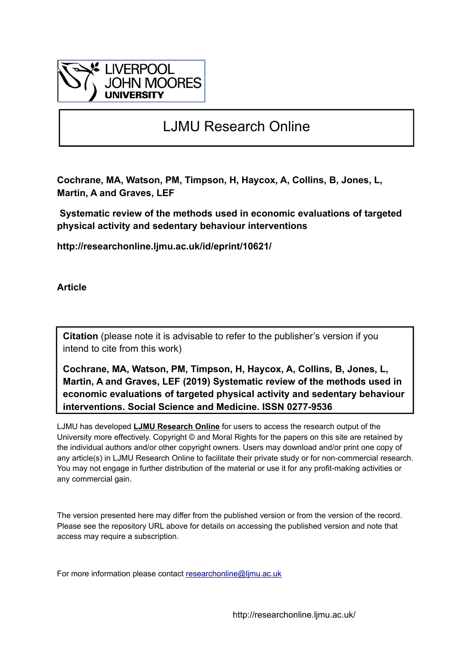

# LJMU Research Online

**Cochrane, MA, Watson, PM, Timpson, H, Haycox, A, Collins, B, Jones, L, Martin, A and Graves, LEF**

 **Systematic review of the methods used in economic evaluations of targeted physical activity and sedentary behaviour interventions**

**http://researchonline.ljmu.ac.uk/id/eprint/10621/**

**Article**

**Citation** (please note it is advisable to refer to the publisher's version if you intend to cite from this work)

**Cochrane, MA, Watson, PM, Timpson, H, Haycox, A, Collins, B, Jones, L, Martin, A and Graves, LEF (2019) Systematic review of the methods used in economic evaluations of targeted physical activity and sedentary behaviour interventions. Social Science and Medicine. ISSN 0277-9536** 

LJMU has developed **[LJMU Research Online](http://researchonline.ljmu.ac.uk/)** for users to access the research output of the University more effectively. Copyright © and Moral Rights for the papers on this site are retained by the individual authors and/or other copyright owners. Users may download and/or print one copy of any article(s) in LJMU Research Online to facilitate their private study or for non-commercial research. You may not engage in further distribution of the material or use it for any profit-making activities or any commercial gain.

The version presented here may differ from the published version or from the version of the record. Please see the repository URL above for details on accessing the published version and note that access may require a subscription.

For more information please contact researchonline@limu.ac.uk

http://researchonline.ljmu.ac.uk/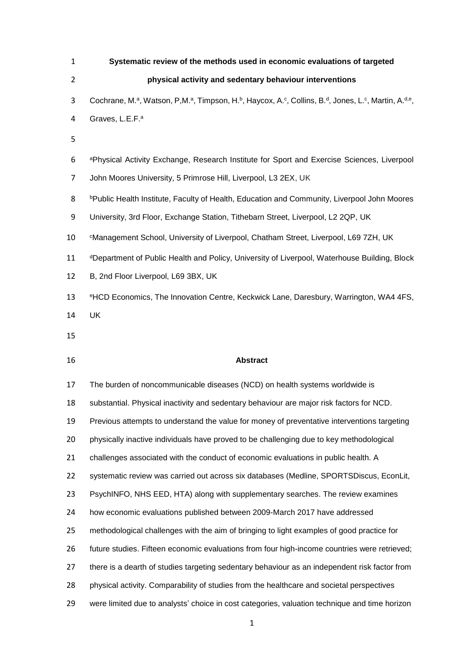| $\mathbf{1}$   | Systematic review of the methods used in economic evaluations of targeted                          |
|----------------|----------------------------------------------------------------------------------------------------|
| $\overline{2}$ | physical activity and sedentary behaviour interventions                                            |
| 3              | Cochrane, M.ª, Watson, P,M.ª, Timpson, H.b, Haycox, A.c, Collins, B.d, Jones, L.c, Martin, A.d.e,  |
| 4              | Graves, L.E.F. <sup>a</sup>                                                                        |
| 5              |                                                                                                    |
| 6              | aPhysical Activity Exchange, Research Institute for Sport and Exercise Sciences, Liverpool         |
| $\overline{7}$ | John Moores University, 5 Primrose Hill, Liverpool, L3 2EX, UK                                     |
| 8              | <b>bPublic Health Institute, Faculty of Health, Education and Community, Liverpool John Moores</b> |
| 9              | University, 3rd Floor, Exchange Station, Tithebarn Street, Liverpool, L2 2QP, UK                   |
| 10             | <sup>c</sup> Management School, University of Liverpool, Chatham Street, Liverpool, L69 7ZH, UK    |
| 11             | dDepartment of Public Health and Policy, University of Liverpool, Waterhouse Building, Block       |
| 12             | B, 2nd Floor Liverpool, L69 3BX, UK                                                                |
| 13             | eHCD Economics, The Innovation Centre, Keckwick Lane, Daresbury, Warrington, WA4 4FS,              |
| 14             | <b>UK</b>                                                                                          |
| 15             |                                                                                                    |
| 16             | <b>Abstract</b>                                                                                    |
| 17             | The burden of noncommunicable diseases (NCD) on health systems worldwide is                        |
| 18             | substantial. Physical inactivity and sedentary behaviour are major risk factors for NCD.           |
| 19             | Previous attempts to understand the value for money of preventative interventions targeting        |
| 20             | physically inactive individuals have proved to be challenging due to key methodological            |
| 21             | challenges associated with the conduct of economic evaluations in public health. A                 |
| 22             | systematic review was carried out across six databases (Medline, SPORTSDiscus, EconLit,            |
| 23             | PsychINFO, NHS EED, HTA) along with supplementary searches. The review examines                    |
| 24             | how economic evaluations published between 2009-March 2017 have addressed                          |
| 25             | methodological challenges with the aim of bringing to light examples of good practice for          |
| 26             | future studies. Fifteen economic evaluations from four high-income countries were retrieved;       |
| 27             | there is a dearth of studies targeting sedentary behaviour as an independent risk factor from      |
| 28             | physical activity. Comparability of studies from the healthcare and societal perspectives          |
| 29             | were limited due to analysts' choice in cost categories, valuation technique and time horizon      |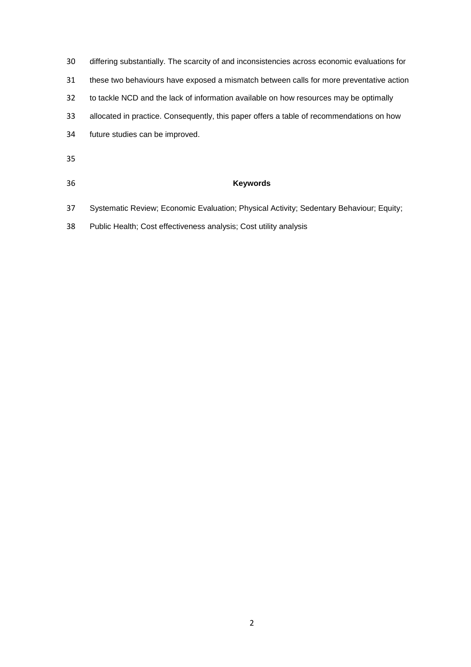- differing substantially. The scarcity of and inconsistencies across economic evaluations for these two behaviours have exposed a mismatch between calls for more preventative action to tackle NCD and the lack of information available on how resources may be optimally allocated in practice. Consequently, this paper offers a table of recommendations on how future studies can be improved.
- 
- 

# **Keywords**

- Systematic Review; Economic Evaluation; Physical Activity; Sedentary Behaviour; Equity;
- Public Health; Cost effectiveness analysis; Cost utility analysis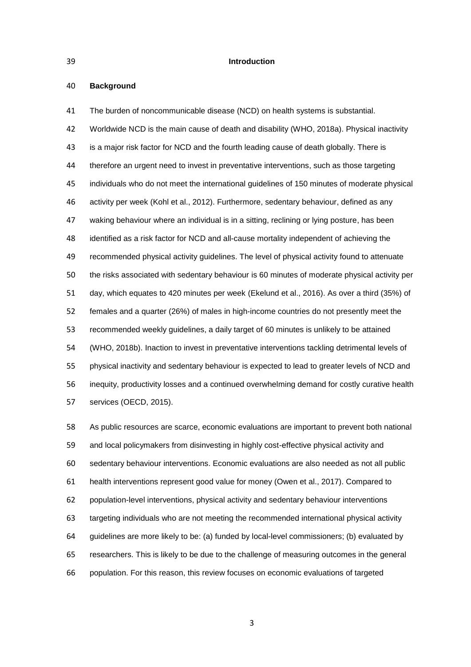#### **Introduction**

#### **Background**

 The burden of noncommunicable disease (NCD) on health systems is substantial. Worldwide NCD is the main cause of death and disability (WHO, 2018a). Physical inactivity is a major risk factor for NCD and the fourth leading cause of death globally. There is therefore an urgent need to invest in preventative interventions, such as those targeting individuals who do not meet the international guidelines of 150 minutes of moderate physical activity per week (Kohl et al., 2012). Furthermore, sedentary behaviour, defined as any waking behaviour where an individual is in a sitting, reclining or lying posture, has been identified as a risk factor for NCD and all-cause mortality independent of achieving the recommended physical activity guidelines. The level of physical activity found to attenuate the risks associated with sedentary behaviour is 60 minutes of moderate physical activity per day, which equates to 420 minutes per week (Ekelund et al., 2016). As over a third (35%) of females and a quarter (26%) of males in high-income countries do not presently meet the recommended weekly guidelines, a daily target of 60 minutes is unlikely to be attained (WHO, 2018b). Inaction to invest in preventative interventions tackling detrimental levels of physical inactivity and sedentary behaviour is expected to lead to greater levels of NCD and inequity, productivity losses and a continued overwhelming demand for costly curative health services (OECD, 2015).

 As public resources are scarce, economic evaluations are important to prevent both national and local policymakers from disinvesting in highly cost-effective physical activity and sedentary behaviour interventions. Economic evaluations are also needed as not all public health interventions represent good value for money (Owen et al., 2017). Compared to population-level interventions, physical activity and sedentary behaviour interventions targeting individuals who are not meeting the recommended international physical activity guidelines are more likely to be: (a) funded by local-level commissioners; (b) evaluated by researchers. This is likely to be due to the challenge of measuring outcomes in the general population. For this reason, this review focuses on economic evaluations of targeted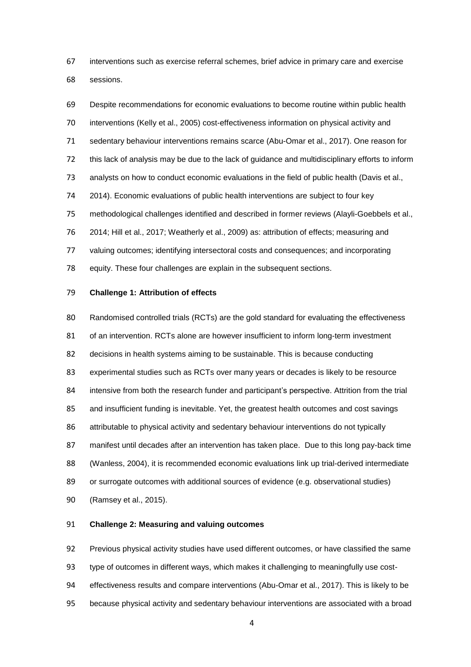interventions such as exercise referral schemes, brief advice in primary care and exercise sessions.

 Despite recommendations for economic evaluations to become routine within public health interventions (Kelly et al., 2005) cost-effectiveness information on physical activity and sedentary behaviour interventions remains scarce (Abu-Omar et al., 2017). One reason for this lack of analysis may be due to the lack of guidance and multidisciplinary efforts to inform 73 analysts on how to conduct economic evaluations in the field of public health (Davis et al., 2014). Economic evaluations of public health interventions are subject to four key methodological challenges identified and described in former reviews (Alayli-Goebbels et al., 2014; Hill et al., 2017; Weatherly et al., 2009) as: attribution of effects; measuring and valuing outcomes; identifying intersectoral costs and consequences; and incorporating equity. These four challenges are explain in the subsequent sections.

# **Challenge 1: Attribution of effects**

 Randomised controlled trials (RCTs) are the gold standard for evaluating the effectiveness of an intervention. RCTs alone are however insufficient to inform long-term investment decisions in health systems aiming to be sustainable. This is because conducting experimental studies such as RCTs over many years or decades is likely to be resource intensive from both the research funder and participant's perspective. Attrition from the trial and insufficient funding is inevitable. Yet, the greatest health outcomes and cost savings attributable to physical activity and sedentary behaviour interventions do not typically manifest until decades after an intervention has taken place. Due to this long pay-back time (Wanless, 2004), it is recommended economic evaluations link up trial-derived intermediate or surrogate outcomes with additional sources of evidence (e.g. observational studies)

(Ramsey et al., 2015).

# **Challenge 2: Measuring and valuing outcomes**

Previous physical activity studies have used different outcomes, or have classified the same

type of outcomes in different ways, which makes it challenging to meaningfully use cost-

effectiveness results and compare interventions (Abu-Omar et al., 2017). This is likely to be

because physical activity and sedentary behaviour interventions are associated with a broad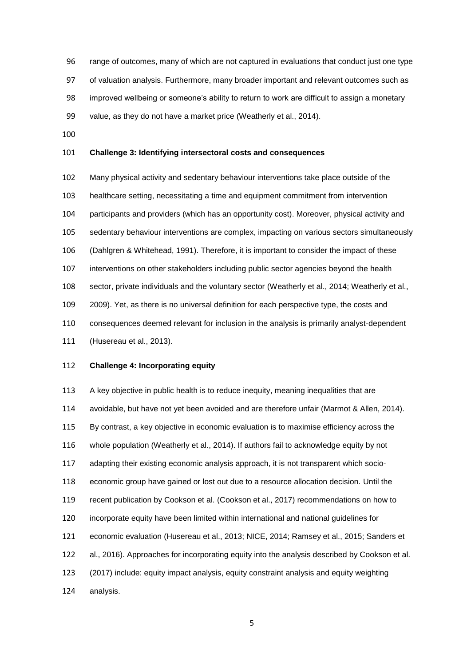range of outcomes, many of which are not captured in evaluations that conduct just one type of valuation analysis. Furthermore, many broader important and relevant outcomes such as improved wellbeing or someone's ability to return to work are difficult to assign a monetary value, as they do not have a market price (Weatherly et al., 2014).

# **Challenge 3: Identifying intersectoral costs and consequences**

 Many physical activity and sedentary behaviour interventions take place outside of the healthcare setting, necessitating a time and equipment commitment from intervention participants and providers (which has an opportunity cost). Moreover, physical activity and sedentary behaviour interventions are complex, impacting on various sectors simultaneously (Dahlgren & Whitehead, 1991). Therefore, it is important to consider the impact of these interventions on other stakeholders including public sector agencies beyond the health sector, private individuals and the voluntary sector (Weatherly et al., 2014; Weatherly et al., 2009). Yet, as there is no universal definition for each perspective type, the costs and consequences deemed relevant for inclusion in the analysis is primarily analyst-dependent

(Husereau et al., 2013).

# **Challenge 4: Incorporating equity**

 A key objective in public health is to reduce inequity, meaning inequalities that are avoidable, but have not yet been avoided and are therefore unfair (Marmot & Allen, 2014). By contrast, a key objective in economic evaluation is to maximise efficiency across the whole population (Weatherly et al., 2014). If authors fail to acknowledge equity by not adapting their existing economic analysis approach, it is not transparent which socio- economic group have gained or lost out due to a resource allocation decision. Until the recent publication by Cookson et al. (Cookson et al., 2017) recommendations on how to incorporate equity have been limited within international and national guidelines for economic evaluation (Husereau et al., 2013; NICE, 2014; Ramsey et al., 2015; Sanders et al., 2016). Approaches for incorporating equity into the analysis described by Cookson et al. (2017) include: equity impact analysis, equity constraint analysis and equity weighting analysis.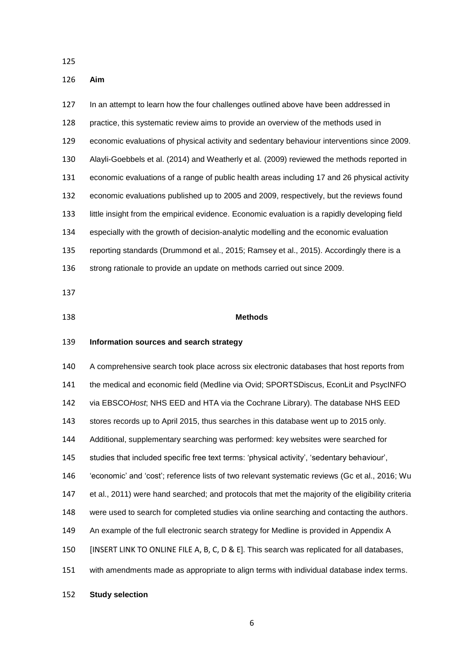#### **Aim**

 In an attempt to learn how the four challenges outlined above have been addressed in practice, this systematic review aims to provide an overview of the methods used in economic evaluations of physical activity and sedentary behaviour interventions since 2009. Alayli-Goebbels et al. (2014) and Weatherly et al. (2009) reviewed the methods reported in economic evaluations of a range of public health areas including 17 and 26 physical activity economic evaluations published up to 2005 and 2009, respectively, but the reviews found little insight from the empirical evidence. Economic evaluation is a rapidly developing field especially with the growth of decision-analytic modelling and the economic evaluation reporting standards (Drummond et al., 2015; Ramsey et al., 2015). Accordingly there is a 136 strong rationale to provide an update on methods carried out since 2009.

### **Methods**

# **Information sources and search strategy**

 A comprehensive search took place across six electronic databases that host reports from 141 the medical and economic field (Medline via Ovid; SPORTSDiscus, EconLit and PsycINFO via EBSCO*Host*; NHS EED and HTA via the Cochrane Library). The database NHS EED stores records up to April 2015, thus searches in this database went up to 2015 only. Additional, supplementary searching was performed: key websites were searched for studies that included specific free text terms: 'physical activity', 'sedentary behaviour', 'economic' and 'cost'; reference lists of two relevant systematic reviews (Gc et al., 2016; Wu et al., 2011) were hand searched; and protocols that met the majority of the eligibility criteria were used to search for completed studies via online searching and contacting the authors. An example of the full electronic search strategy for Medline is provided in Appendix A [INSERT LINK TO ONLINE FILE A, B, C, D & E]. This search was replicated for all databases, with amendments made as appropriate to align terms with individual database index terms.

**Study selection**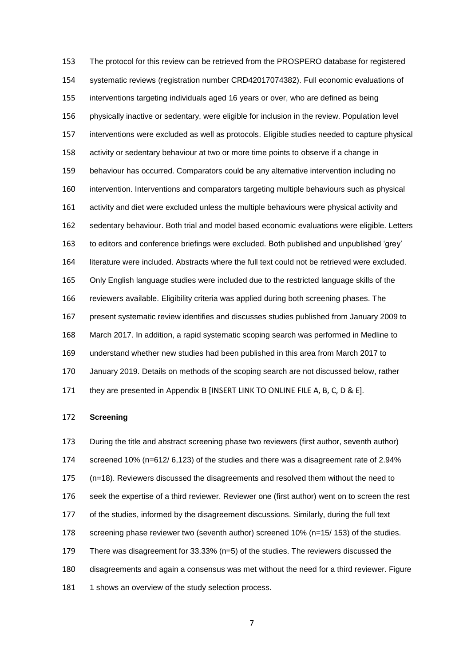The protocol for this review can be retrieved from the PROSPERO database for registered systematic reviews (registration number CRD42017074382). Full economic evaluations of interventions targeting individuals aged 16 years or over, who are defined as being physically inactive or sedentary, were eligible for inclusion in the review. Population level interventions were excluded as well as protocols. Eligible studies needed to capture physical activity or sedentary behaviour at two or more time points to observe if a change in behaviour has occurred. Comparators could be any alternative intervention including no intervention. Interventions and comparators targeting multiple behaviours such as physical activity and diet were excluded unless the multiple behaviours were physical activity and sedentary behaviour. Both trial and model based economic evaluations were eligible. Letters to editors and conference briefings were excluded. Both published and unpublished 'grey' literature were included. Abstracts where the full text could not be retrieved were excluded. Only English language studies were included due to the restricted language skills of the reviewers available. Eligibility criteria was applied during both screening phases. The present systematic review identifies and discusses studies published from January 2009 to March 2017. In addition, a rapid systematic scoping search was performed in Medline to understand whether new studies had been published in this area from March 2017 to January 2019. Details on methods of the scoping search are not discussed below, rather they are presented in Appendix B [INSERT LINK TO ONLINE FILE A, B, C, D & E].

# **Screening**

 During the title and abstract screening phase two reviewers (first author, seventh author) screened 10% (n=612/ 6,123) of the studies and there was a disagreement rate of 2.94% (n=18). Reviewers discussed the disagreements and resolved them without the need to seek the expertise of a third reviewer. Reviewer one (first author) went on to screen the rest of the studies, informed by the disagreement discussions. Similarly, during the full text screening phase reviewer two (seventh author) screened 10% (n=15/ 153) of the studies. There was disagreement for 33.33% (n=5) of the studies. The reviewers discussed the disagreements and again a consensus was met without the need for a third reviewer. Figure 181 1 shows an overview of the study selection process.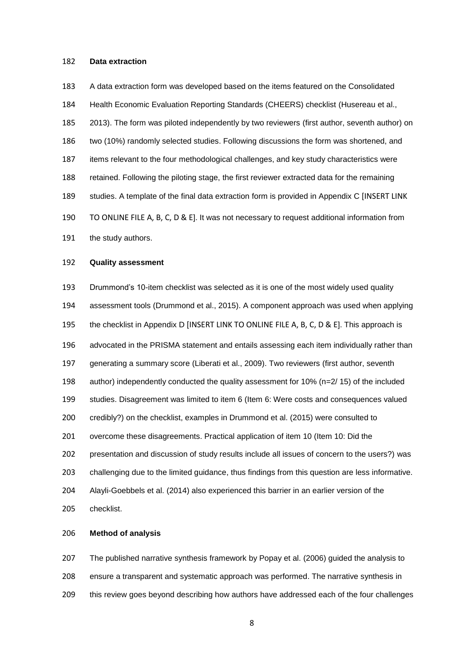#### **Data extraction**

 A data extraction form was developed based on the items featured on the Consolidated Health Economic Evaluation Reporting Standards (CHEERS) checklist (Husereau et al., 2013). The form was piloted independently by two reviewers (first author, seventh author) on two (10%) randomly selected studies. Following discussions the form was shortened, and items relevant to the four methodological challenges, and key study characteristics were retained. Following the piloting stage, the first reviewer extracted data for the remaining studies. A template of the final data extraction form is provided in Appendix C [INSERT LINK TO ONLINE FILE A, B, C, D & E]. It was not necessary to request additional information from 191 the study authors.

#### **Quality assessment**

 Drummond's 10-item checklist was selected as it is one of the most widely used quality assessment tools (Drummond et al., 2015). A component approach was used when applying the checklist in Appendix D [INSERT LINK TO ONLINE FILE A, B, C, D & E]. This approach is advocated in the PRISMA statement and entails assessing each item individually rather than generating a summary score (Liberati et al., 2009). Two reviewers (first author, seventh author) independently conducted the quality assessment for 10% (n=2/ 15) of the included studies. Disagreement was limited to item 6 (Item 6: Were costs and consequences valued credibly?) on the checklist, examples in Drummond et al. (2015) were consulted to overcome these disagreements. Practical application of item 10 (Item 10: Did the presentation and discussion of study results include all issues of concern to the users?) was challenging due to the limited guidance, thus findings from this question are less informative. Alayli-Goebbels et al. (2014) also experienced this barrier in an earlier version of the checklist.

# **Method of analysis**

 The published narrative synthesis framework by Popay et al. (2006) guided the analysis to ensure a transparent and systematic approach was performed. The narrative synthesis in this review goes beyond describing how authors have addressed each of the four challenges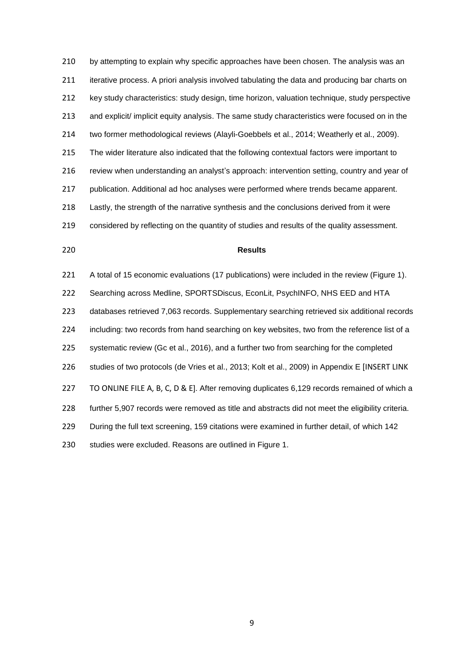210 by attempting to explain why specific approaches have been chosen. The analysis was an iterative process. A priori analysis involved tabulating the data and producing bar charts on key study characteristics: study design, time horizon, valuation technique, study perspective and explicit/ implicit equity analysis. The same study characteristics were focused on in the two former methodological reviews (Alayli-Goebbels et al., 2014; Weatherly et al., 2009). The wider literature also indicated that the following contextual factors were important to review when understanding an analyst's approach: intervention setting, country and year of publication. Additional ad hoc analyses were performed where trends became apparent. Lastly, the strength of the narrative synthesis and the conclusions derived from it were considered by reflecting on the quantity of studies and results of the quality assessment.

# **Results**

 A total of 15 economic evaluations (17 publications) were included in the review (Figure 1). Searching across Medline, SPORTSDiscus, EconLit, PsychINFO, NHS EED and HTA databases retrieved 7,063 records. Supplementary searching retrieved six additional records including: two records from hand searching on key websites, two from the reference list of a systematic review (Gc et al., 2016), and a further two from searching for the completed studies of two protocols (de Vries et al., 2013; Kolt et al., 2009) in Appendix E [INSERT LINK 227 TO ONLINE FILE A, B, C, D & E]. After removing duplicates 6,129 records remained of which a further 5,907 records were removed as title and abstracts did not meet the eligibility criteria. During the full text screening, 159 citations were examined in further detail, of which 142 studies were excluded. Reasons are outlined in Figure 1.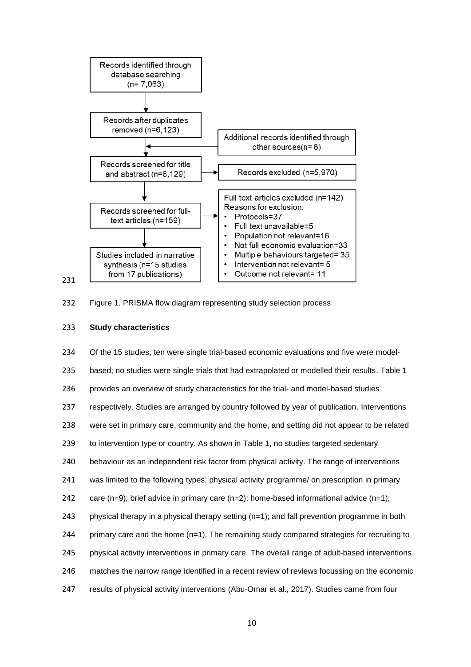



# **Study characteristics**

 Of the 15 studies, ten were single trial-based economic evaluations and five were model-235 based; no studies were single trials that had extrapolated or modelled their results. Table 1 provides an overview of study characteristics for the trial- and model-based studies respectively. Studies are arranged by country followed by year of publication. Interventions were set in primary care, community and the home, and setting did not appear to be related to intervention type or country. As shown in Table 1, no studies targeted sedentary behaviour as an independent risk factor from physical activity. The range of interventions was limited to the following types: physical activity programme/ on prescription in primary 242 care (n=9); brief advice in primary care (n=2); home-based informational advice (n=1); physical therapy in a physical therapy setting (n=1); and fall prevention programme in both 244 primary care and the home (n=1). The remaining study compared strategies for recruiting to physical activity interventions in primary care. The overall range of adult-based interventions matches the narrow range identified in a recent review of reviews focussing on the economic results of physical activity interventions (Abu-Omar et al., 2017). Studies came from four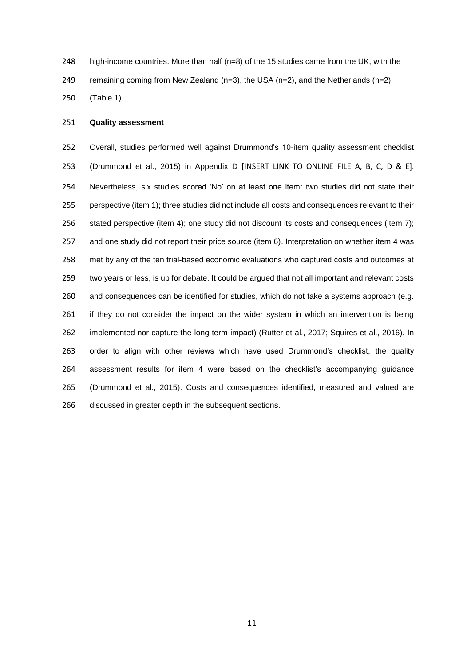high-income countries. More than half (n=8) of the 15 studies came from the UK, with the

249 remaining coming from New Zealand  $(n=3)$ , the USA  $(n=2)$ , and the Netherlands  $(n=2)$ 

(Table 1).

# **Quality assessment**

 Overall, studies performed well against Drummond's 10-item quality assessment checklist (Drummond et al., 2015) in Appendix D [INSERT LINK TO ONLINE FILE A, B, C, D & E]. Nevertheless, six studies scored 'No' on at least one item: two studies did not state their perspective (item 1); three studies did not include all costs and consequences relevant to their stated perspective (item 4); one study did not discount its costs and consequences (item 7); 257 and one study did not report their price source (item 6). Interpretation on whether item 4 was met by any of the ten trial-based economic evaluations who captured costs and outcomes at two years or less, is up for debate. It could be argued that not all important and relevant costs and consequences can be identified for studies, which do not take a systems approach (e.g. if they do not consider the impact on the wider system in which an intervention is being implemented nor capture the long-term impact) (Rutter et al., 2017; Squires et al., 2016). In order to align with other reviews which have used Drummond's checklist, the quality assessment results for item 4 were based on the checklist's accompanying guidance (Drummond et al., 2015). Costs and consequences identified, measured and valued are discussed in greater depth in the subsequent sections.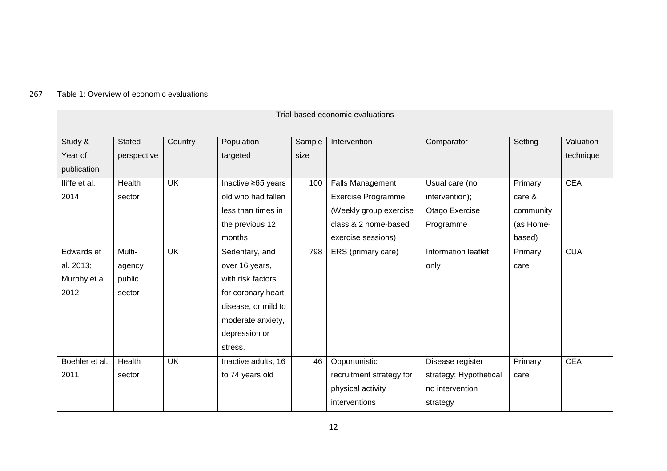# 267 Table 1: Overview of economic evaluations

| Trial-based economic evaluations |               |           |                     |        |                           |                        |           |            |
|----------------------------------|---------------|-----------|---------------------|--------|---------------------------|------------------------|-----------|------------|
| Study &                          | <b>Stated</b> | Country   | Population          | Sample | Intervention              | Comparator             | Setting   | Valuation  |
| Year of                          | perspective   |           | targeted            | size   |                           |                        |           | technique  |
| publication                      |               |           |                     |        |                           |                        |           |            |
| lliffe et al.                    | Health        | <b>UK</b> | Inactive ≥65 years  | 100    | <b>Falls Management</b>   | Usual care (no         | Primary   | <b>CEA</b> |
| 2014                             | sector        |           | old who had fallen  |        | <b>Exercise Programme</b> | intervention);         | care &    |            |
|                                  |               |           | less than times in  |        | (Weekly group exercise    | Otago Exercise         | community |            |
|                                  |               |           | the previous 12     |        | class & 2 home-based      | Programme              | (as Home- |            |
|                                  |               |           | months              |        | exercise sessions)        |                        | based)    |            |
| Edwards et                       | Multi-        | <b>UK</b> | Sedentary, and      | 798    | ERS (primary care)        | Information leaflet    | Primary   | <b>CUA</b> |
| al. 2013;                        | agency        |           | over 16 years,      |        |                           | only                   | care      |            |
| Murphy et al.                    | public        |           | with risk factors   |        |                           |                        |           |            |
| 2012                             | sector        |           | for coronary heart  |        |                           |                        |           |            |
|                                  |               |           | disease, or mild to |        |                           |                        |           |            |
|                                  |               |           | moderate anxiety,   |        |                           |                        |           |            |
|                                  |               |           | depression or       |        |                           |                        |           |            |
|                                  |               |           | stress.             |        |                           |                        |           |            |
| Boehler et al.                   | Health        | <b>UK</b> | Inactive adults, 16 | 46     | Opportunistic             | Disease register       | Primary   | <b>CEA</b> |
| 2011                             | sector        |           | to 74 years old     |        | recruitment strategy for  | strategy; Hypothetical | care      |            |
|                                  |               |           |                     |        | physical activity         | no intervention        |           |            |
|                                  |               |           |                     |        | interventions             | strategy               |           |            |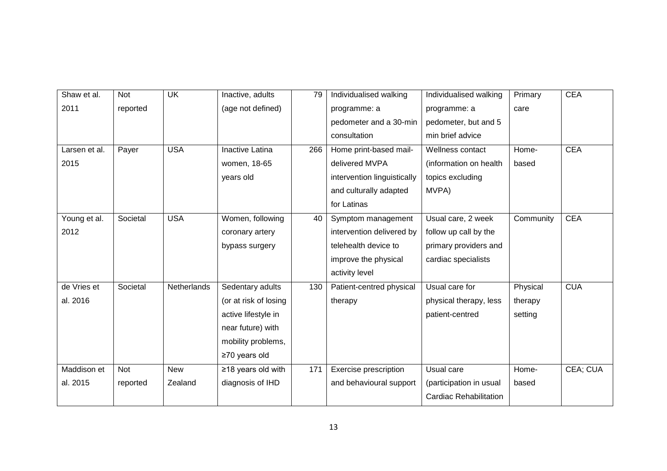| Shaw et al.   | <b>Not</b> | <b>UK</b>   | Inactive, adults       | 79  | Individualised walking      | Individualised walking        | Primary   | <b>CEA</b> |
|---------------|------------|-------------|------------------------|-----|-----------------------------|-------------------------------|-----------|------------|
| 2011          | reported   |             | (age not defined)      |     | programme: a                | programme: a                  | care      |            |
|               |            |             |                        |     | pedometer and a 30-min      | pedometer, but and 5          |           |            |
|               |            |             |                        |     | consultation                | min brief advice              |           |            |
| Larsen et al. | Payer      | <b>USA</b>  | <b>Inactive Latina</b> | 266 | Home print-based mail-      | Wellness contact              | Home-     | <b>CEA</b> |
| 2015          |            |             | women, 18-65           |     | delivered MVPA              | (information on health        | based     |            |
|               |            |             | years old              |     | intervention linguistically | topics excluding              |           |            |
|               |            |             |                        |     | and culturally adapted      | MVPA)                         |           |            |
|               |            |             |                        |     | for Latinas                 |                               |           |            |
| Young et al.  | Societal   | <b>USA</b>  | Women, following       | 40  | Symptom management          | Usual care, 2 week            | Community | <b>CEA</b> |
| 2012          |            |             | coronary artery        |     | intervention delivered by   | follow up call by the         |           |            |
|               |            |             | bypass surgery         |     | telehealth device to        | primary providers and         |           |            |
|               |            |             |                        |     | improve the physical        | cardiac specialists           |           |            |
|               |            |             |                        |     | activity level              |                               |           |            |
| de Vries et   | Societal   | Netherlands | Sedentary adults       | 130 | Patient-centred physical    | Usual care for                | Physical  | <b>CUA</b> |
| al. 2016      |            |             | (or at risk of losing  |     | therapy                     | physical therapy, less        | therapy   |            |
|               |            |             | active lifestyle in    |     |                             | patient-centred               | setting   |            |
|               |            |             | near future) with      |     |                             |                               |           |            |
|               |            |             | mobility problems,     |     |                             |                               |           |            |
|               |            |             | $\geq$ 70 years old    |     |                             |                               |           |            |
| Maddison et   | <b>Not</b> | <b>New</b>  | ≥18 years old with     | 171 | Exercise prescription       | Usual care                    | Home-     | CEA; CUA   |
| al. 2015      | reported   | Zealand     | diagnosis of IHD       |     | and behavioural support     | (participation in usual       | based     |            |
|               |            |             |                        |     |                             | <b>Cardiac Rehabilitation</b> |           |            |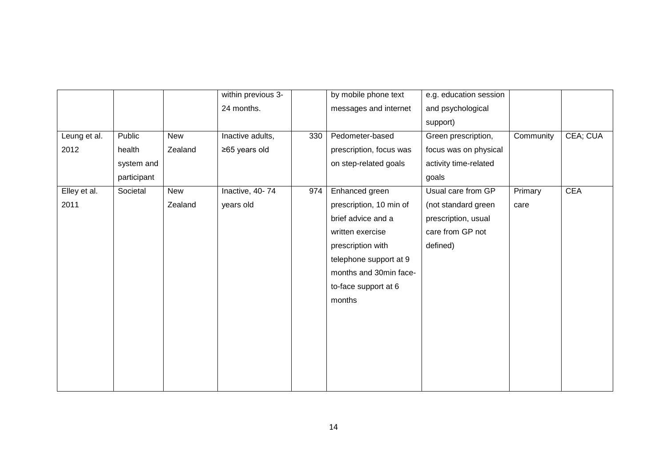|              |             |            | within previous 3- |     | by mobile phone text    | e.g. education session |           |            |
|--------------|-------------|------------|--------------------|-----|-------------------------|------------------------|-----------|------------|
|              |             |            | 24 months.         |     | messages and internet   | and psychological      |           |            |
|              |             |            |                    |     |                         | support)               |           |            |
| Leung et al. | Public      | <b>New</b> | Inactive adults,   | 330 | Pedometer-based         | Green prescription,    | Community | CEA; CUA   |
| 2012         | health      | Zealand    | ≥65 years old      |     | prescription, focus was | focus was on physical  |           |            |
|              | system and  |            |                    |     | on step-related goals   | activity time-related  |           |            |
|              | participant |            |                    |     |                         | goals                  |           |            |
| Elley et al. | Societal    | <b>New</b> | Inactive, 40-74    | 974 | Enhanced green          | Usual care from GP     | Primary   | <b>CEA</b> |
| 2011         |             | Zealand    | years old          |     | prescription, 10 min of | (not standard green    | care      |            |
|              |             |            |                    |     | brief advice and a      | prescription, usual    |           |            |
|              |             |            |                    |     | written exercise        | care from GP not       |           |            |
|              |             |            |                    |     | prescription with       | defined)               |           |            |
|              |             |            |                    |     | telephone support at 9  |                        |           |            |
|              |             |            |                    |     | months and 30min face-  |                        |           |            |
|              |             |            |                    |     | to-face support at 6    |                        |           |            |
|              |             |            |                    |     | months                  |                        |           |            |
|              |             |            |                    |     |                         |                        |           |            |
|              |             |            |                    |     |                         |                        |           |            |
|              |             |            |                    |     |                         |                        |           |            |
|              |             |            |                    |     |                         |                        |           |            |
|              |             |            |                    |     |                         |                        |           |            |
|              |             |            |                    |     |                         |                        |           |            |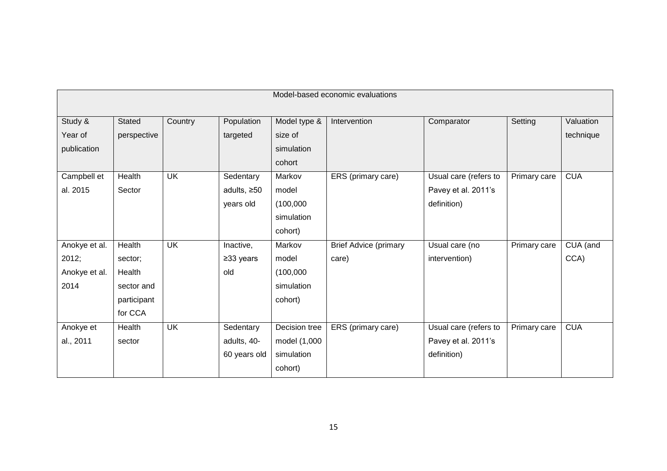|               | Model-based economic evaluations |                          |                   |               |                              |                       |              |            |
|---------------|----------------------------------|--------------------------|-------------------|---------------|------------------------------|-----------------------|--------------|------------|
| Study &       | Stated                           | Country                  | Population        | Model type &  | Intervention                 | Comparator            | Setting      | Valuation  |
| Year of       | perspective                      |                          | targeted          | size of       |                              |                       |              | technique  |
| publication   |                                  |                          |                   | simulation    |                              |                       |              |            |
|               |                                  |                          |                   | cohort        |                              |                       |              |            |
| Campbell et   | Health                           | $\overline{\mathsf{UK}}$ | Sedentary         | Markov        | ERS (primary care)           | Usual care (refers to | Primary care | <b>CUA</b> |
| al. 2015      | Sector                           |                          | adults, $\geq 50$ | model         |                              | Pavey et al. 2011's   |              |            |
|               |                                  |                          | years old         | (100,000)     |                              | definition)           |              |            |
|               |                                  |                          |                   | simulation    |                              |                       |              |            |
|               |                                  |                          |                   | cohort)       |                              |                       |              |            |
| Anokye et al. | Health                           | <b>UK</b>                | Inactive,         | Markov        | <b>Brief Advice (primary</b> | Usual care (no        | Primary care | CUA (and   |
| 2012;         | sector;                          |                          | ≥33 years         | model         | care)                        | intervention)         |              | CCA)       |
| Anokye et al. | Health                           |                          | old               | (100,000)     |                              |                       |              |            |
| 2014          | sector and                       |                          |                   | simulation    |                              |                       |              |            |
|               | participant                      |                          |                   | cohort)       |                              |                       |              |            |
|               | for CCA                          |                          |                   |               |                              |                       |              |            |
| Anokye et     | Health                           | <b>UK</b>                | Sedentary         | Decision tree | ERS (primary care)           | Usual care (refers to | Primary care | <b>CUA</b> |
| al., 2011     | sector                           |                          | adults, 40-       | model (1,000  |                              | Pavey et al. 2011's   |              |            |
|               |                                  |                          | 60 years old      | simulation    |                              | definition)           |              |            |
|               |                                  |                          |                   | cohort)       |                              |                       |              |            |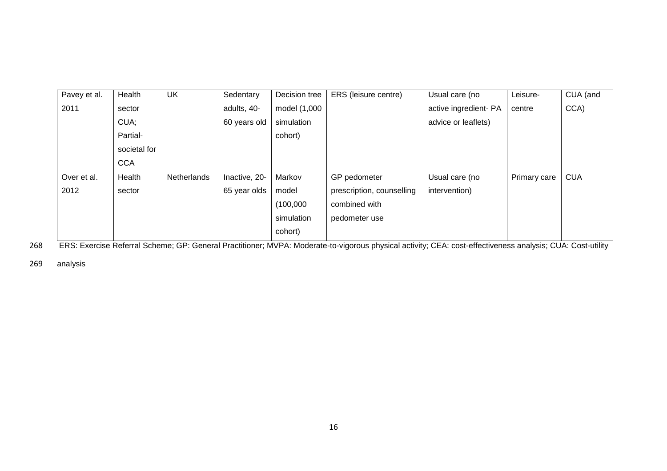| Pavey et al. | Health       | <b>UK</b>   | Sedentary     | Decision tree | ERS (leisure centre)      | Usual care (no        | Leisure-     | CUA (and   |
|--------------|--------------|-------------|---------------|---------------|---------------------------|-----------------------|--------------|------------|
| 2011         | sector       |             | adults, 40-   | model (1,000  |                           | active ingredient- PA | centre       | CCA)       |
|              | CUA;         |             | 60 years old  | simulation    |                           | advice or leaflets)   |              |            |
|              | Partial-     |             |               | cohort)       |                           |                       |              |            |
|              | societal for |             |               |               |                           |                       |              |            |
|              | <b>CCA</b>   |             |               |               |                           |                       |              |            |
| Over et al.  | Health       | Netherlands | Inactive, 20- | Markov        | GP pedometer              | Usual care (no        | Primary care | <b>CUA</b> |
| 2012         | sector       |             | 65 year olds  | model         | prescription, counselling | intervention)         |              |            |
|              |              |             |               | (100,000)     | combined with             |                       |              |            |
|              |              |             |               | simulation    | pedometer use             |                       |              |            |
|              |              |             |               | cohort)       |                           |                       |              |            |

268 ERS: Exercise Referral Scheme; GP: General Practitioner; MVPA: Moderate-to-vigorous physical activity; CEA: cost-effectiveness analysis; CUA: Cost-utility

269 analysis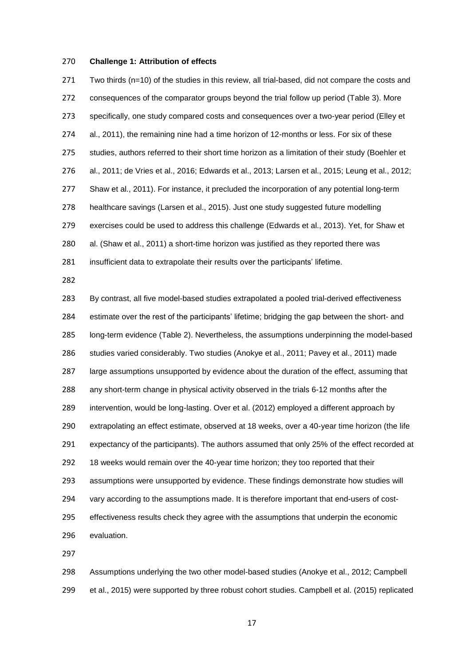# **Challenge 1: Attribution of effects**

 Two thirds (n=10) of the studies in this review, all trial-based, did not compare the costs and consequences of the comparator groups beyond the trial follow up period (Table 3). More specifically, one study compared costs and consequences over a two-year period (Elley et al., 2011), the remaining nine had a time horizon of 12-months or less. For six of these studies, authors referred to their short time horizon as a limitation of their study (Boehler et al., 2011; de Vries et al., 2016; Edwards et al., 2013; Larsen et al., 2015; Leung et al., 2012; Shaw et al., 2011). For instance, it precluded the incorporation of any potential long-term healthcare savings (Larsen et al., 2015). Just one study suggested future modelling exercises could be used to address this challenge (Edwards et al., 2013). Yet, for Shaw et al. (Shaw et al., 2011) a short-time horizon was justified as they reported there was insufficient data to extrapolate their results over the participants' lifetime.

 By contrast, all five model-based studies extrapolated a pooled trial-derived effectiveness estimate over the rest of the participants' lifetime; bridging the gap between the short- and long-term evidence (Table 2). Nevertheless, the assumptions underpinning the model-based studies varied considerably. Two studies (Anokye et al., 2011; Pavey et al., 2011) made large assumptions unsupported by evidence about the duration of the effect, assuming that any short-term change in physical activity observed in the trials 6-12 months after the intervention, would be long-lasting. Over et al. (2012) employed a different approach by extrapolating an effect estimate, observed at 18 weeks, over a 40-year time horizon (the life expectancy of the participants). The authors assumed that only 25% of the effect recorded at 18 weeks would remain over the 40-year time horizon; they too reported that their assumptions were unsupported by evidence. These findings demonstrate how studies will vary according to the assumptions made. It is therefore important that end-users of cost- effectiveness results check they agree with the assumptions that underpin the economic evaluation.

 Assumptions underlying the two other model-based studies (Anokye et al., 2012; Campbell et al., 2015) were supported by three robust cohort studies. Campbell et al. (2015) replicated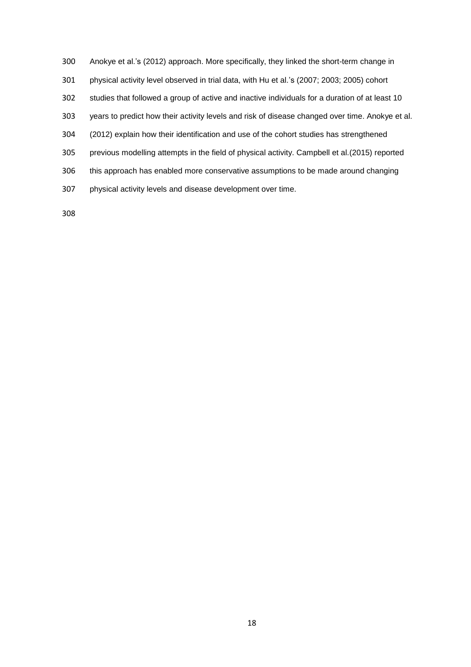Anokye et al.'s (2012) approach. More specifically, they linked the short-term change in physical activity level observed in trial data, with Hu et al.'s (2007; 2003; 2005) cohort studies that followed a group of active and inactive individuals for a duration of at least 10 years to predict how their activity levels and risk of disease changed over time. Anokye et al. (2012) explain how their identification and use of the cohort studies has strengthened previous modelling attempts in the field of physical activity. Campbell et al.(2015) reported this approach has enabled more conservative assumptions to be made around changing physical activity levels and disease development over time.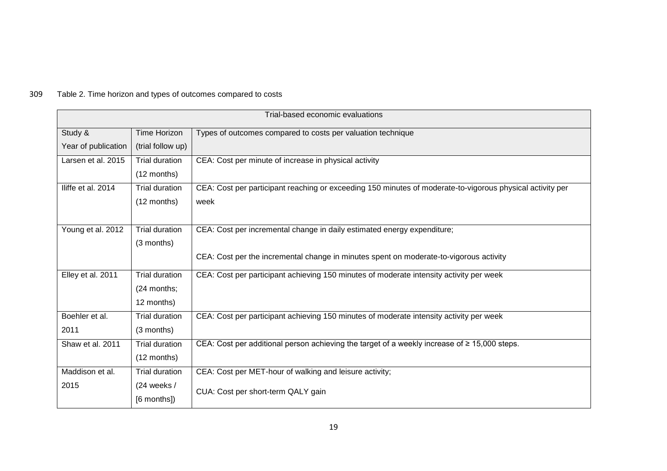# 309 Table 2. Time horizon and types of outcomes compared to costs

| Trial-based economic evaluations |                       |                                                                                                           |  |  |
|----------------------------------|-----------------------|-----------------------------------------------------------------------------------------------------------|--|--|
| Study &                          | <b>Time Horizon</b>   | Types of outcomes compared to costs per valuation technique                                               |  |  |
| Year of publication              | (trial follow up)     |                                                                                                           |  |  |
| Larsen et al. 2015               | <b>Trial duration</b> | CEA: Cost per minute of increase in physical activity                                                     |  |  |
|                                  | $(12$ months)         |                                                                                                           |  |  |
| Iliffe et al. 2014               | <b>Trial duration</b> | CEA: Cost per participant reaching or exceeding 150 minutes of moderate-to-vigorous physical activity per |  |  |
|                                  | $(12$ months)         | week                                                                                                      |  |  |
|                                  |                       |                                                                                                           |  |  |
| Young et al. 2012                | <b>Trial duration</b> | CEA: Cost per incremental change in daily estimated energy expenditure;                                   |  |  |
|                                  | (3 months)            |                                                                                                           |  |  |
|                                  |                       | CEA: Cost per the incremental change in minutes spent on moderate-to-vigorous activity                    |  |  |
| Elley et al. 2011                | <b>Trial duration</b> | CEA: Cost per participant achieving 150 minutes of moderate intensity activity per week                   |  |  |
|                                  | (24 months;           |                                                                                                           |  |  |
|                                  | 12 months)            |                                                                                                           |  |  |
| Boehler et al.                   | Trial duration        | CEA: Cost per participant achieving 150 minutes of moderate intensity activity per week                   |  |  |
| 2011                             | (3 months)            |                                                                                                           |  |  |
| Shaw et al. 2011                 | <b>Trial duration</b> | CEA: Cost per additional person achieving the target of a weekly increase of ≥ 15,000 steps.              |  |  |
|                                  | $(12$ months)         |                                                                                                           |  |  |
| Maddison et al.                  | <b>Trial duration</b> | CEA: Cost per MET-hour of walking and leisure activity;                                                   |  |  |
| 2015                             | $(24$ weeks /         | CUA: Cost per short-term QALY gain                                                                        |  |  |
|                                  | [6 months])           |                                                                                                           |  |  |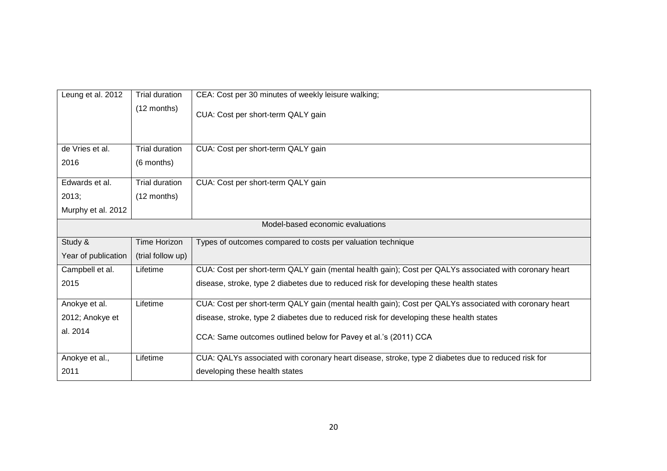| Leung et al. 2012   | <b>Trial duration</b> | CEA: Cost per 30 minutes of weekly leisure walking;                                                    |
|---------------------|-----------------------|--------------------------------------------------------------------------------------------------------|
|                     | $(12$ months)         | CUA: Cost per short-term QALY gain                                                                     |
|                     |                       |                                                                                                        |
| de Vries et al.     | <b>Trial duration</b> | CUA: Cost per short-term QALY gain                                                                     |
| 2016                | (6 months)            |                                                                                                        |
| Edwards et al.      | <b>Trial duration</b> | CUA: Cost per short-term QALY gain                                                                     |
| 2013;               | $(12$ months)         |                                                                                                        |
| Murphy et al. 2012  |                       |                                                                                                        |
|                     |                       | Model-based economic evaluations                                                                       |
| Study &             | Time Horizon          | Types of outcomes compared to costs per valuation technique                                            |
| Year of publication | (trial follow up)     |                                                                                                        |
| Campbell et al.     | Lifetime              | CUA: Cost per short-term QALY gain (mental health gain); Cost per QALYs associated with coronary heart |
| 2015                |                       | disease, stroke, type 2 diabetes due to reduced risk for developing these health states                |
| Anokye et al.       | Lifetime              | CUA: Cost per short-term QALY gain (mental health gain); Cost per QALYs associated with coronary heart |
| 2012; Anokye et     |                       | disease, stroke, type 2 diabetes due to reduced risk for developing these health states                |
| al. 2014            |                       | CCA: Same outcomes outlined below for Pavey et al.'s (2011) CCA                                        |
| Anokye et al.,      | Lifetime              | CUA: QALYs associated with coronary heart disease, stroke, type 2 diabetes due to reduced risk for     |
| 2011                |                       | developing these health states                                                                         |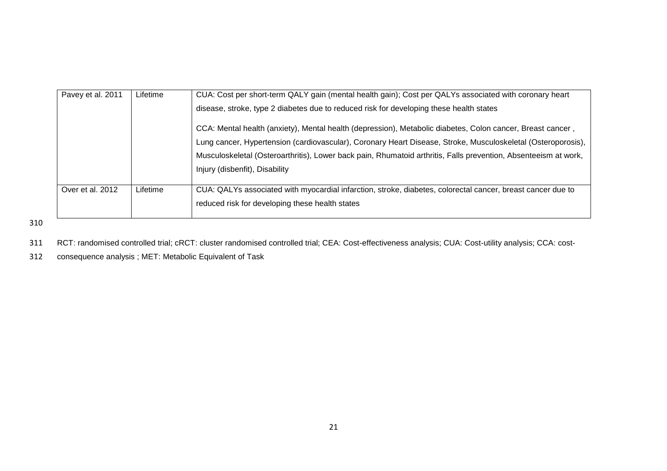| Pavey et al. 2011 | Lifetime | CUA: Cost per short-term QALY gain (mental health gain); Cost per QALYs associated with coronary heart          |
|-------------------|----------|-----------------------------------------------------------------------------------------------------------------|
|                   |          | disease, stroke, type 2 diabetes due to reduced risk for developing these health states                         |
|                   |          | CCA: Mental health (anxiety), Mental health (depression), Metabolic diabetes, Colon cancer, Breast cancer,      |
|                   |          | Lung cancer, Hypertension (cardiovascular), Coronary Heart Disease, Stroke, Musculoskeletal (Osteroporosis),    |
|                   |          | Musculoskeletal (Osteroarthritis), Lower back pain, Rhumatoid arthritis, Falls prevention, Absenteeism at work, |
|                   |          | Injury (disbenfit), Disability                                                                                  |
|                   |          |                                                                                                                 |
| Over et al. 2012  | Lifetime | CUA: QALYs associated with myocardial infarction, stroke, diabetes, colorectal cancer, breast cancer due to     |
|                   |          | reduced risk for developing these health states                                                                 |
|                   |          |                                                                                                                 |

310

311 RCT: randomised controlled trial; cRCT: cluster randomised controlled trial; CEA: Cost-effectiveness analysis; CUA: Cost-utility analysis; CCA: cost-

312 consequence analysis ; MET: Metabolic Equivalent of Task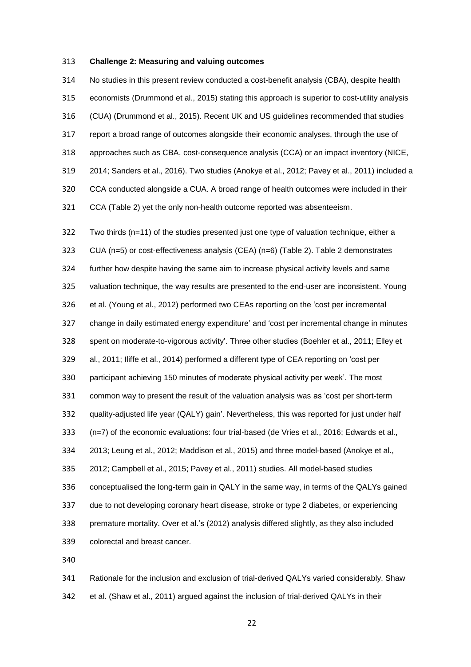#### **Challenge 2: Measuring and valuing outcomes**

 No studies in this present review conducted a cost-benefit analysis (CBA), despite health economists (Drummond et al., 2015) stating this approach is superior to cost-utility analysis (CUA) (Drummond et al., 2015). Recent UK and US guidelines recommended that studies report a broad range of outcomes alongside their economic analyses, through the use of approaches such as CBA, cost-consequence analysis (CCA) or an impact inventory (NICE, 2014; Sanders et al., 2016). Two studies (Anokye et al., 2012; Pavey et al., 2011) included a CCA conducted alongside a CUA. A broad range of health outcomes were included in their CCA (Table 2) yet the only non-health outcome reported was absenteeism.

 Two thirds (n=11) of the studies presented just one type of valuation technique, either a CUA (n=5) or cost-effectiveness analysis (CEA) (n=6) (Table 2). Table 2 demonstrates further how despite having the same aim to increase physical activity levels and same valuation technique, the way results are presented to the end-user are inconsistent. Young et al. (Young et al., 2012) performed two CEAs reporting on the 'cost per incremental change in daily estimated energy expenditure' and 'cost per incremental change in minutes spent on moderate-to-vigorous activity'. Three other studies (Boehler et al., 2011; Elley et al., 2011; Iliffe et al., 2014) performed a different type of CEA reporting on 'cost per participant achieving 150 minutes of moderate physical activity per week'. The most common way to present the result of the valuation analysis was as 'cost per short-term quality-adjusted life year (QALY) gain'. Nevertheless, this was reported for just under half (n=7) of the economic evaluations: four trial-based (de Vries et al., 2016; Edwards et al., 2013; Leung et al., 2012; Maddison et al., 2015) and three model-based (Anokye et al., 2012; Campbell et al., 2015; Pavey et al., 2011) studies. All model-based studies conceptualised the long-term gain in QALY in the same way, in terms of the QALYs gained due to not developing coronary heart disease, stroke or type 2 diabetes, or experiencing premature mortality. Over et al.'s (2012) analysis differed slightly, as they also included colorectal and breast cancer. 

 Rationale for the inclusion and exclusion of trial-derived QALYs varied considerably. Shaw et al. (Shaw et al., 2011) argued against the inclusion of trial-derived QALYs in their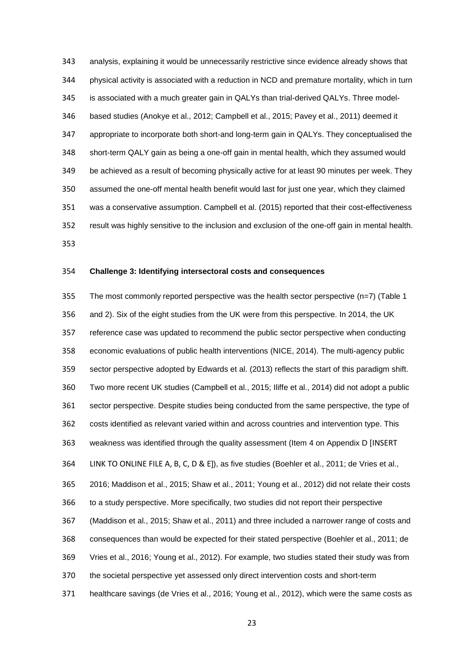analysis, explaining it would be unnecessarily restrictive since evidence already shows that physical activity is associated with a reduction in NCD and premature mortality, which in turn is associated with a much greater gain in QALYs than trial-derived QALYs. Three model- based studies (Anokye et al., 2012; Campbell et al., 2015; Pavey et al., 2011) deemed it appropriate to incorporate both short-and long-term gain in QALYs. They conceptualised the short-term QALY gain as being a one-off gain in mental health, which they assumed would be achieved as a result of becoming physically active for at least 90 minutes per week. They assumed the one-off mental health benefit would last for just one year, which they claimed was a conservative assumption. Campbell et al. (2015) reported that their cost-effectiveness result was highly sensitive to the inclusion and exclusion of the one-off gain in mental health. 

#### **Challenge 3: Identifying intersectoral costs and consequences**

 The most commonly reported perspective was the health sector perspective (n=7) (Table 1 and 2). Six of the eight studies from the UK were from this perspective. In 2014, the UK reference case was updated to recommend the public sector perspective when conducting economic evaluations of public health interventions (NICE, 2014). The multi-agency public sector perspective adopted by Edwards et al. (2013) reflects the start of this paradigm shift. Two more recent UK studies (Campbell et al., 2015; Iliffe et al., 2014) did not adopt a public sector perspective. Despite studies being conducted from the same perspective, the type of costs identified as relevant varied within and across countries and intervention type. This weakness was identified through the quality assessment (Item 4 on Appendix D [INSERT LINK TO ONLINE FILE A, B, C, D & E]), as five studies (Boehler et al., 2011; de Vries et al., 2016; Maddison et al., 2015; Shaw et al., 2011; Young et al., 2012) did not relate their costs to a study perspective. More specifically, two studies did not report their perspective (Maddison et al., 2015; Shaw et al., 2011) and three included a narrower range of costs and consequences than would be expected for their stated perspective (Boehler et al., 2011; de Vries et al., 2016; Young et al., 2012). For example, two studies stated their study was from the societal perspective yet assessed only direct intervention costs and short-term healthcare savings (de Vries et al., 2016; Young et al., 2012), which were the same costs as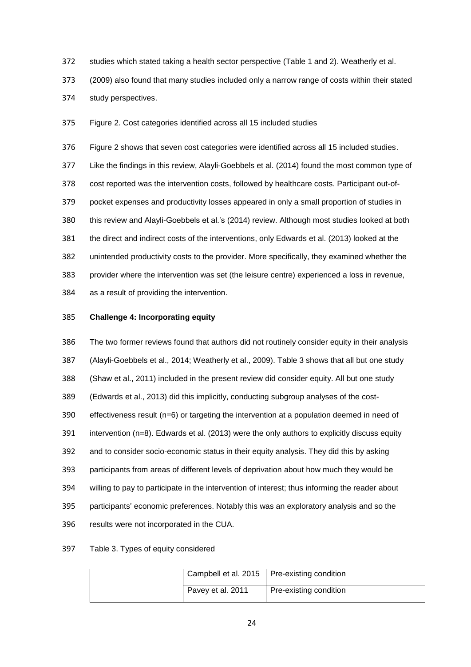- studies which stated taking a health sector perspective (Table 1 and 2). Weatherly et al.
- (2009) also found that many studies included only a narrow range of costs within their stated
- study perspectives.

Figure 2. Cost categories identified across all 15 included studies

 Figure 2 shows that seven cost categories were identified across all 15 included studies. Like the findings in this review, Alayli-Goebbels et al. (2014) found the most common type of cost reported was the intervention costs, followed by healthcare costs. Participant out-of- pocket expenses and productivity losses appeared in only a small proportion of studies in this review and Alayli-Goebbels et al.'s (2014) review. Although most studies looked at both the direct and indirect costs of the interventions, only Edwards et al. (2013) looked at the unintended productivity costs to the provider. More specifically, they examined whether the provider where the intervention was set (the leisure centre) experienced a loss in revenue, as a result of providing the intervention.

# **Challenge 4: Incorporating equity**

 The two former reviews found that authors did not routinely consider equity in their analysis (Alayli-Goebbels et al., 2014; Weatherly et al., 2009). Table 3 shows that all but one study (Shaw et al., 2011) included in the present review did consider equity. All but one study (Edwards et al., 2013) did this implicitly, conducting subgroup analyses of the cost- effectiveness result (n=6) or targeting the intervention at a population deemed in need of intervention (n=8). Edwards et al. (2013) were the only authors to explicitly discuss equity and to consider socio-economic status in their equity analysis. They did this by asking participants from areas of different levels of deprivation about how much they would be willing to pay to participate in the intervention of interest; thus informing the reader about participants' economic preferences. Notably this was an exploratory analysis and so the results were not incorporated in the CUA.

# Table 3. Types of equity considered

| Campbell et al. 2015   Pre-existing condition |                        |
|-----------------------------------------------|------------------------|
| Pavey et al. 2011                             | Pre-existing condition |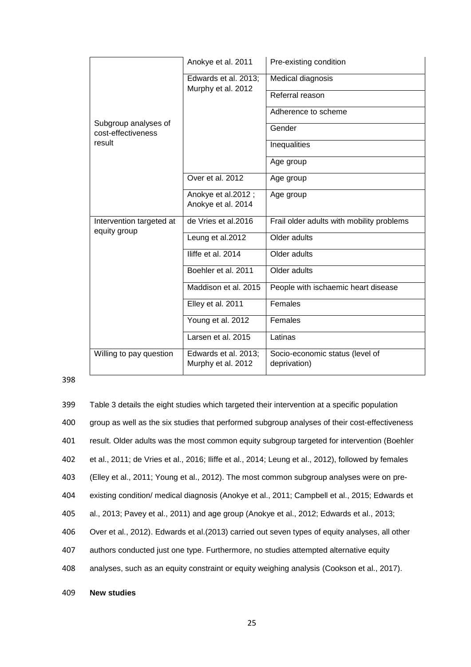|                                          | Anokye et al. 2011                         | Pre-existing condition                    |
|------------------------------------------|--------------------------------------------|-------------------------------------------|
|                                          | Edwards et al. 2013;<br>Murphy et al. 2012 | Medical diagnosis                         |
|                                          |                                            | Referral reason                           |
| Subgroup analyses of                     |                                            | Adherence to scheme                       |
| cost-effectiveness                       |                                            | Gender                                    |
| result                                   |                                            | Inequalities                              |
|                                          |                                            | Age group                                 |
|                                          | Over et al. 2012                           | Age group                                 |
|                                          | Anokye et al.2012;                         | Age group                                 |
|                                          | Anokye et al. 2014                         |                                           |
| Intervention targeted at<br>equity group | de Vries et al.2016                        | Frail older adults with mobility problems |
|                                          | Leung et al.2012                           | Older adults                              |
|                                          | Iliffe et al. 2014                         | Older adults                              |
|                                          | Boehler et al. 2011                        | Older adults                              |
|                                          | Maddison et al. 2015                       | People with ischaemic heart disease       |
|                                          | Elley et al. 2011                          | Females                                   |
|                                          | Young et al. 2012                          | Females                                   |
|                                          | Larsen et al. 2015                         | Latinas                                   |
| Willing to pay question                  | Edwards et al. 2013;                       | Socio-economic status (level of           |
|                                          | Murphy et al. 2012                         | deprivation)                              |

# 398

 Table 3 details the eight studies which targeted their intervention at a specific population group as well as the six studies that performed subgroup analyses of their cost-effectiveness result. Older adults was the most common equity subgroup targeted for intervention (Boehler et al., 2011; de Vries et al., 2016; Iliffe et al., 2014; Leung et al., 2012), followed by females (Elley et al., 2011; Young et al., 2012). The most common subgroup analyses were on pre- existing condition/ medical diagnosis (Anokye et al., 2011; Campbell et al., 2015; Edwards et al., 2013; Pavey et al., 2011) and age group (Anokye et al., 2012; Edwards et al., 2013; Over et al., 2012). Edwards et al.(2013) carried out seven types of equity analyses, all other authors conducted just one type. Furthermore, no studies attempted alternative equity analyses, such as an equity constraint or equity weighing analysis (Cookson et al., 2017).

409 **New studies**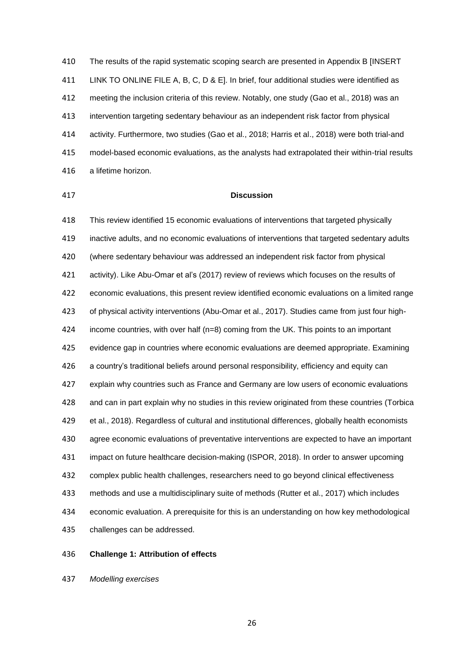The results of the rapid systematic scoping search are presented in Appendix B [INSERT LINK TO ONLINE FILE A, B, C, D & E]. In brief, four additional studies were identified as meeting the inclusion criteria of this review. Notably, one study (Gao et al., 2018) was an intervention targeting sedentary behaviour as an independent risk factor from physical activity. Furthermore, two studies (Gao et al., 2018; Harris et al., 2018) were both trial-and model-based economic evaluations, as the analysts had extrapolated their within-trial results a lifetime horizon.

# **Discussion**

 This review identified 15 economic evaluations of interventions that targeted physically inactive adults, and no economic evaluations of interventions that targeted sedentary adults (where sedentary behaviour was addressed an independent risk factor from physical activity). Like Abu-Omar et al's (2017) review of reviews which focuses on the results of economic evaluations, this present review identified economic evaluations on a limited range of physical activity interventions (Abu-Omar et al., 2017). Studies came from just four high- income countries, with over half (n=8) coming from the UK. This points to an important evidence gap in countries where economic evaluations are deemed appropriate. Examining a country's traditional beliefs around personal responsibility, efficiency and equity can explain why countries such as France and Germany are low users of economic evaluations and can in part explain why no studies in this review originated from these countries (Torbica et al., 2018). Regardless of cultural and institutional differences, globally health economists agree economic evaluations of preventative interventions are expected to have an important impact on future healthcare decision-making (ISPOR, 2018). In order to answer upcoming complex public health challenges, researchers need to go beyond clinical effectiveness methods and use a multidisciplinary suite of methods (Rutter et al., 2017) which includes economic evaluation. A prerequisite for this is an understanding on how key methodological challenges can be addressed.

**Challenge 1: Attribution of effects**

*Modelling exercises*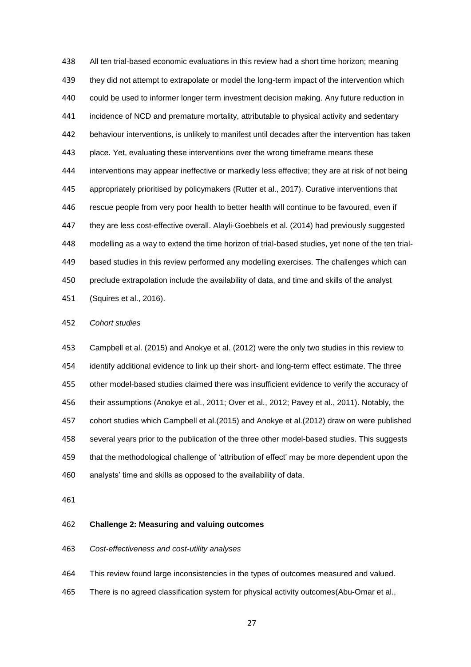All ten trial-based economic evaluations in this review had a short time horizon; meaning they did not attempt to extrapolate or model the long-term impact of the intervention which could be used to informer longer term investment decision making. Any future reduction in 441 incidence of NCD and premature mortality, attributable to physical activity and sedentary behaviour interventions, is unlikely to manifest until decades after the intervention has taken place. Yet, evaluating these interventions over the wrong timeframe means these interventions may appear ineffective or markedly less effective; they are at risk of not being appropriately prioritised by policymakers (Rutter et al., 2017). Curative interventions that rescue people from very poor health to better health will continue to be favoured, even if they are less cost-effective overall. Alayli-Goebbels et al. (2014) had previously suggested modelling as a way to extend the time horizon of trial-based studies, yet none of the ten trial- based studies in this review performed any modelling exercises. The challenges which can preclude extrapolation include the availability of data, and time and skills of the analyst (Squires et al., 2016).

#### *Cohort studies*

 Campbell et al. (2015) and Anokye et al. (2012) were the only two studies in this review to identify additional evidence to link up their short- and long-term effect estimate. The three other model-based studies claimed there was insufficient evidence to verify the accuracy of their assumptions (Anokye et al., 2011; Over et al., 2012; Pavey et al., 2011). Notably, the cohort studies which Campbell et al.(2015) and Anokye et al.(2012) draw on were published several years prior to the publication of the three other model-based studies. This suggests that the methodological challenge of 'attribution of effect' may be more dependent upon the analysts' time and skills as opposed to the availability of data.

# **Challenge 2: Measuring and valuing outcomes**

#### *Cost-effectiveness and cost-utility analyses*

This review found large inconsistencies in the types of outcomes measured and valued.

There is no agreed classification system for physical activity outcomes(Abu-Omar et al.,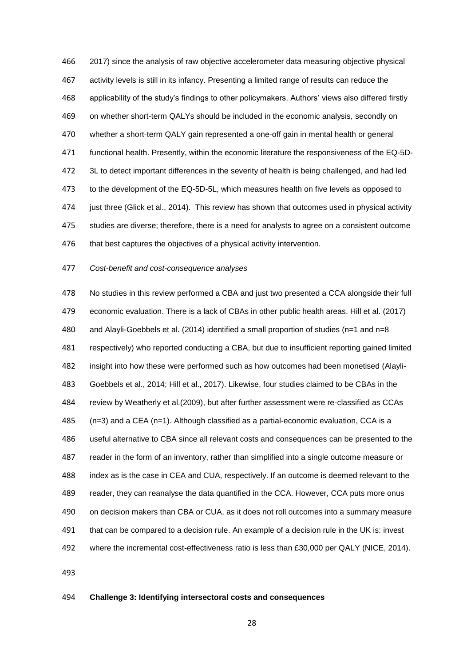2017) since the analysis of raw objective accelerometer data measuring objective physical activity levels is still in its infancy. Presenting a limited range of results can reduce the applicability of the study's findings to other policymakers. Authors' views also differed firstly on whether short-term QALYs should be included in the economic analysis, secondly on whether a short-term QALY gain represented a one-off gain in mental health or general functional health. Presently, within the economic literature the responsiveness of the EQ-5D- 3L to detect important differences in the severity of health is being challenged, and had led to the development of the EQ-5D-5L, which measures health on five levels as opposed to just three (Glick et al., 2014). This review has shown that outcomes used in physical activity studies are diverse; therefore, there is a need for analysts to agree on a consistent outcome 476 that best captures the objectives of a physical activity intervention.

#### *Cost-benefit and cost-consequence analyses*

 No studies in this review performed a CBA and just two presented a CCA alongside their full economic evaluation. There is a lack of CBAs in other public health areas. Hill et al. (2017) and Alayli-Goebbels et al. (2014) identified a small proportion of studies (n=1 and n=8 respectively) who reported conducting a CBA, but due to insufficient reporting gained limited insight into how these were performed such as how outcomes had been monetised (Alayli- Goebbels et al., 2014; Hill et al., 2017). Likewise, four studies claimed to be CBAs in the review by Weatherly et al.(2009), but after further assessment were re-classified as CCAs (n=3) and a CEA (n=1). Although classified as a partial-economic evaluation, CCA is a useful alternative to CBA since all relevant costs and consequences can be presented to the reader in the form of an inventory, rather than simplified into a single outcome measure or index as is the case in CEA and CUA, respectively. If an outcome is deemed relevant to the reader, they can reanalyse the data quantified in the CCA. However, CCA puts more onus on decision makers than CBA or CUA, as it does not roll outcomes into a summary measure that can be compared to a decision rule. An example of a decision rule in the UK is: invest where the incremental cost-effectiveness ratio is less than £30,000 per QALY (NICE, 2014).

## **Challenge 3: Identifying intersectoral costs and consequences**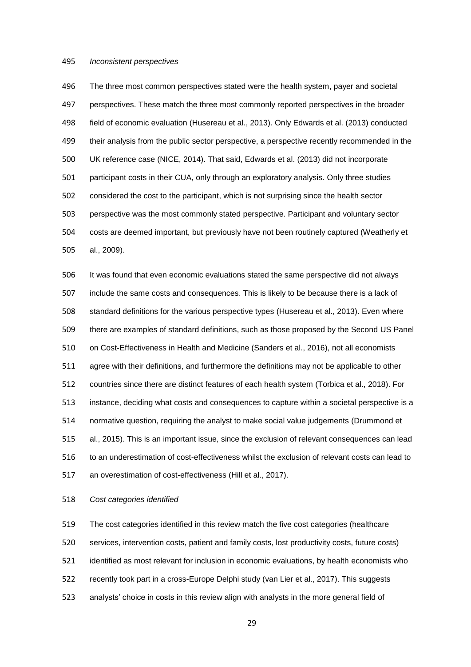#### *Inconsistent perspectives*

 The three most common perspectives stated were the health system, payer and societal perspectives. These match the three most commonly reported perspectives in the broader field of economic evaluation (Husereau et al., 2013). Only Edwards et al. (2013) conducted 499 their analysis from the public sector perspective, a perspective recently recommended in the UK reference case (NICE, 2014). That said, Edwards et al. (2013) did not incorporate participant costs in their CUA, only through an exploratory analysis. Only three studies considered the cost to the participant, which is not surprising since the health sector perspective was the most commonly stated perspective. Participant and voluntary sector costs are deemed important, but previously have not been routinely captured (Weatherly et al., 2009).

 It was found that even economic evaluations stated the same perspective did not always include the same costs and consequences. This is likely to be because there is a lack of standard definitions for the various perspective types (Husereau et al., 2013). Even where there are examples of standard definitions, such as those proposed by the Second US Panel on Cost-Effectiveness in Health and Medicine (Sanders et al., 2016), not all economists agree with their definitions, and furthermore the definitions may not be applicable to other countries since there are distinct features of each health system (Torbica et al., 2018). For instance, deciding what costs and consequences to capture within a societal perspective is a normative question, requiring the analyst to make social value judgements (Drummond et al., 2015). This is an important issue, since the exclusion of relevant consequences can lead to an underestimation of cost-effectiveness whilst the exclusion of relevant costs can lead to an overestimation of cost-effectiveness (Hill et al., 2017).

*Cost categories identified*

 The cost categories identified in this review match the five cost categories (healthcare services, intervention costs, patient and family costs, lost productivity costs, future costs) identified as most relevant for inclusion in economic evaluations, by health economists who recently took part in a cross-Europe Delphi study (van Lier et al., 2017). This suggests analysts' choice in costs in this review align with analysts in the more general field of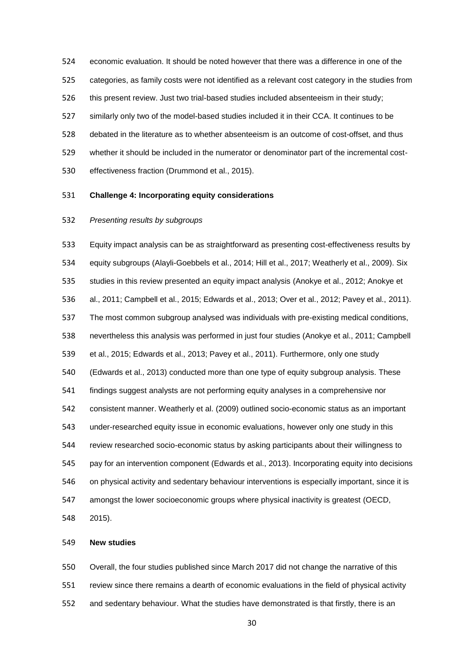economic evaluation. It should be noted however that there was a difference in one of the categories, as family costs were not identified as a relevant cost category in the studies from this present review. Just two trial-based studies included absenteeism in their study; similarly only two of the model-based studies included it in their CCA. It continues to be debated in the literature as to whether absenteeism is an outcome of cost-offset, and thus whether it should be included in the numerator or denominator part of the incremental cost-effectiveness fraction (Drummond et al., 2015).

# **Challenge 4: Incorporating equity considerations**

## *Presenting results by subgroups*

 Equity impact analysis can be as straightforward as presenting cost-effectiveness results by equity subgroups (Alayli-Goebbels et al., 2014; Hill et al., 2017; Weatherly et al., 2009). Six studies in this review presented an equity impact analysis (Anokye et al., 2012; Anokye et al., 2011; Campbell et al., 2015; Edwards et al., 2013; Over et al., 2012; Pavey et al., 2011). The most common subgroup analysed was individuals with pre-existing medical conditions, nevertheless this analysis was performed in just four studies (Anokye et al., 2011; Campbell et al., 2015; Edwards et al., 2013; Pavey et al., 2011). Furthermore, only one study (Edwards et al., 2013) conducted more than one type of equity subgroup analysis. These findings suggest analysts are not performing equity analyses in a comprehensive nor consistent manner. Weatherly et al. (2009) outlined socio-economic status as an important under-researched equity issue in economic evaluations, however only one study in this review researched socio-economic status by asking participants about their willingness to pay for an intervention component (Edwards et al., 2013). Incorporating equity into decisions on physical activity and sedentary behaviour interventions is especially important, since it is amongst the lower socioeconomic groups where physical inactivity is greatest (OECD, 2015).

#### **New studies**

 Overall, the four studies published since March 2017 did not change the narrative of this review since there remains a dearth of economic evaluations in the field of physical activity and sedentary behaviour. What the studies have demonstrated is that firstly, there is an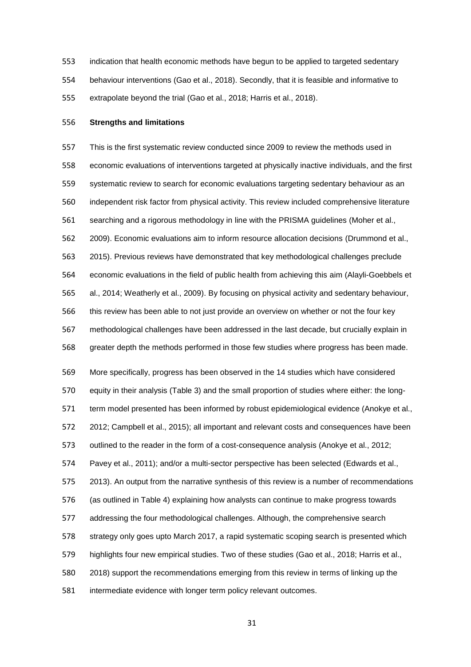indication that health economic methods have begun to be applied to targeted sedentary behaviour interventions (Gao et al., 2018). Secondly, that it is feasible and informative to extrapolate beyond the trial (Gao et al., 2018; Harris et al., 2018).

#### **Strengths and limitations**

 This is the first systematic review conducted since 2009 to review the methods used in economic evaluations of interventions targeted at physically inactive individuals, and the first systematic review to search for economic evaluations targeting sedentary behaviour as an independent risk factor from physical activity. This review included comprehensive literature searching and a rigorous methodology in line with the PRISMA guidelines (Moher et al., 2009). Economic evaluations aim to inform resource allocation decisions (Drummond et al., 2015). Previous reviews have demonstrated that key methodological challenges preclude economic evaluations in the field of public health from achieving this aim (Alayli-Goebbels et al., 2014; Weatherly et al., 2009). By focusing on physical activity and sedentary behaviour, this review has been able to not just provide an overview on whether or not the four key methodological challenges have been addressed in the last decade, but crucially explain in greater depth the methods performed in those few studies where progress has been made. More specifically, progress has been observed in the 14 studies which have considered equity in their analysis (Table 3) and the small proportion of studies where either: the long-571 term model presented has been informed by robust epidemiological evidence (Anokye et al., 2012; Campbell et al., 2015); all important and relevant costs and consequences have been outlined to the reader in the form of a cost-consequence analysis (Anokye et al., 2012;

Pavey et al., 2011); and/or a multi-sector perspective has been selected (Edwards et al.,

2013). An output from the narrative synthesis of this review is a number of recommendations

(as outlined in Table 4) explaining how analysts can continue to make progress towards

addressing the four methodological challenges. Although, the comprehensive search

strategy only goes upto March 2017, a rapid systematic scoping search is presented which

highlights four new empirical studies. Two of these studies (Gao et al., 2018; Harris et al.,

2018) support the recommendations emerging from this review in terms of linking up the

intermediate evidence with longer term policy relevant outcomes.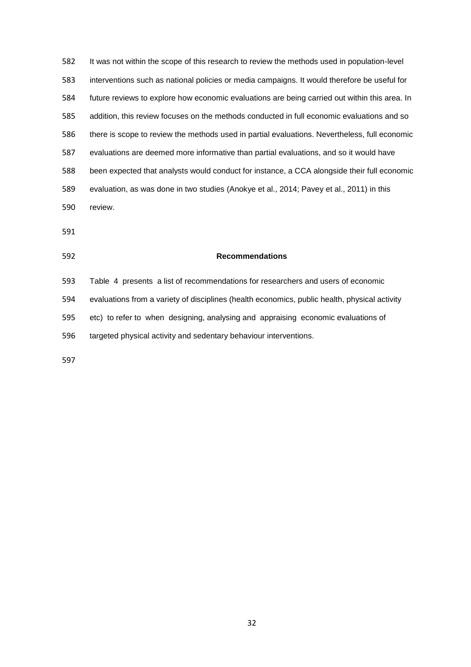It was not within the scope of this research to review the methods used in population-level interventions such as national policies or media campaigns. It would therefore be useful for future reviews to explore how economic evaluations are being carried out within this area. In addition, this review focuses on the methods conducted in full economic evaluations and so there is scope to review the methods used in partial evaluations. Nevertheless, full economic evaluations are deemed more informative than partial evaluations, and so it would have been expected that analysts would conduct for instance, a CCA alongside their full economic evaluation, as was done in two studies (Anokye et al., 2014; Pavey et al., 2011) in this review.

#### **Recommendations**

 Table 4 presents a list of recommendations for researchers and users of economic evaluations from a variety of disciplines (health economics, public health, physical activity etc) to refer to when designing, analysing and appraising economic evaluations of targeted physical activity and sedentary behaviour interventions.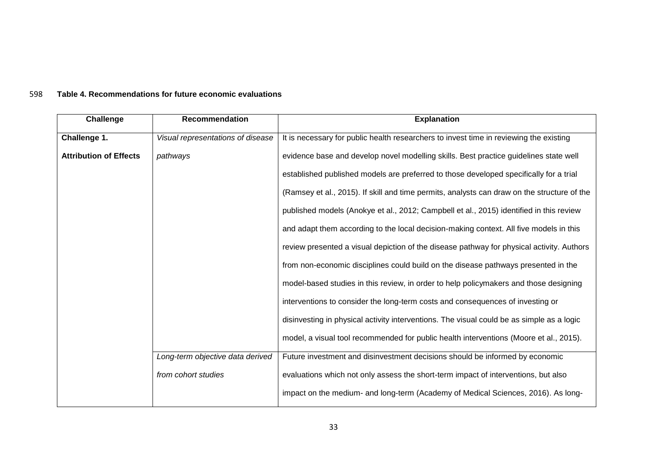# 598 **Table 4. Recommendations for future economic evaluations**

| Challenge                     | Recommendation                    | <b>Explanation</b>                                                                          |
|-------------------------------|-----------------------------------|---------------------------------------------------------------------------------------------|
| Challenge 1.                  | Visual representations of disease | It is necessary for public health researchers to invest time in reviewing the existing      |
| <b>Attribution of Effects</b> | pathways                          | evidence base and develop novel modelling skills. Best practice guidelines state well       |
|                               |                                   | established published models are preferred to those developed specifically for a trial      |
|                               |                                   | (Ramsey et al., 2015). If skill and time permits, analysts can draw on the structure of the |
|                               |                                   | published models (Anokye et al., 2012; Campbell et al., 2015) identified in this review     |
|                               |                                   | and adapt them according to the local decision-making context. All five models in this      |
|                               |                                   | review presented a visual depiction of the disease pathway for physical activity. Authors   |
|                               |                                   | from non-economic disciplines could build on the disease pathways presented in the          |
|                               |                                   | model-based studies in this review, in order to help policymakers and those designing       |
|                               |                                   | interventions to consider the long-term costs and consequences of investing or              |
|                               |                                   | disinvesting in physical activity interventions. The visual could be as simple as a logic   |
|                               |                                   | model, a visual tool recommended for public health interventions (Moore et al., 2015).      |
|                               |                                   |                                                                                             |
|                               | Long-term objective data derived  | Future investment and disinvestment decisions should be informed by economic                |
|                               | from cohort studies               | evaluations which not only assess the short-term impact of interventions, but also          |
|                               |                                   | impact on the medium- and long-term (Academy of Medical Sciences, 2016). As long-           |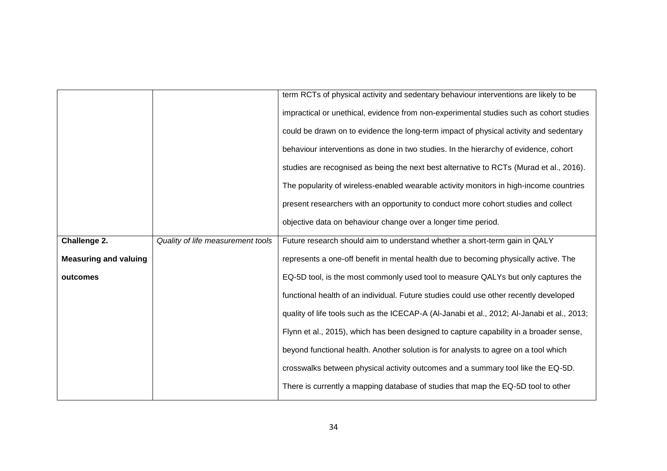|                              |                                   | term RCTs of physical activity and sedentary behaviour interventions are likely to be       |
|------------------------------|-----------------------------------|---------------------------------------------------------------------------------------------|
|                              |                                   | impractical or unethical, evidence from non-experimental studies such as cohort studies     |
|                              |                                   | could be drawn on to evidence the long-term impact of physical activity and sedentary       |
|                              |                                   | behaviour interventions as done in two studies. In the hierarchy of evidence, cohort        |
|                              |                                   | studies are recognised as being the next best alternative to RCTs (Murad et al., 2016).     |
|                              |                                   | The popularity of wireless-enabled wearable activity monitors in high-income countries      |
|                              |                                   | present researchers with an opportunity to conduct more cohort studies and collect          |
|                              |                                   | objective data on behaviour change over a longer time period.                               |
| Challenge 2.                 | Quality of life measurement tools | Future research should aim to understand whether a short-term gain in QALY                  |
| <b>Measuring and valuing</b> |                                   | represents a one-off benefit in mental health due to becoming physically active. The        |
| outcomes                     |                                   | EQ-5D tool, is the most commonly used tool to measure QALYs but only captures the           |
|                              |                                   | functional health of an individual. Future studies could use other recently developed       |
|                              |                                   | quality of life tools such as the ICECAP-A (Al-Janabi et al., 2012; Al-Janabi et al., 2013; |
|                              |                                   | Flynn et al., 2015), which has been designed to capture capability in a broader sense,      |
|                              |                                   | beyond functional health. Another solution is for analysts to agree on a tool which         |
|                              |                                   | crosswalks between physical activity outcomes and a summary tool like the EQ-5D.            |
|                              |                                   | There is currently a mapping database of studies that map the EQ-5D tool to other           |
|                              |                                   |                                                                                             |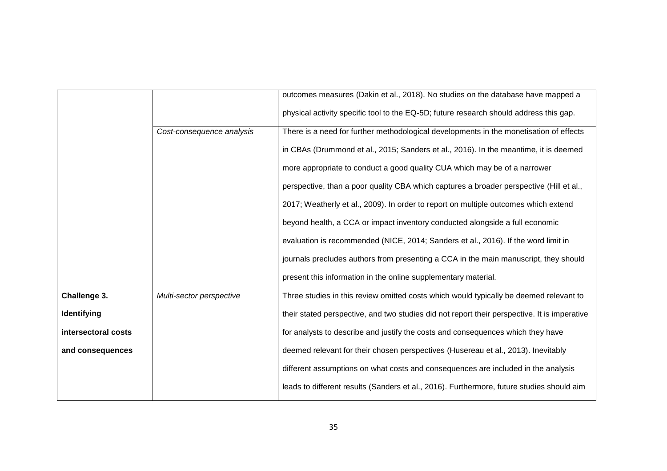|                     |                           | outcomes measures (Dakin et al., 2018). No studies on the database have mapped a             |
|---------------------|---------------------------|----------------------------------------------------------------------------------------------|
|                     |                           | physical activity specific tool to the EQ-5D; future research should address this gap.       |
|                     | Cost-consequence analysis | There is a need for further methodological developments in the monetisation of effects       |
|                     |                           | in CBAs (Drummond et al., 2015; Sanders et al., 2016). In the meantime, it is deemed         |
|                     |                           | more appropriate to conduct a good quality CUA which may be of a narrower                    |
|                     |                           | perspective, than a poor quality CBA which captures a broader perspective (Hill et al.,      |
|                     |                           | 2017; Weatherly et al., 2009). In order to report on multiple outcomes which extend          |
|                     |                           | beyond health, a CCA or impact inventory conducted alongside a full economic                 |
|                     |                           | evaluation is recommended (NICE, 2014; Sanders et al., 2016). If the word limit in           |
|                     |                           | journals precludes authors from presenting a CCA in the main manuscript, they should         |
|                     |                           | present this information in the online supplementary material.                               |
| Challenge 3.        | Multi-sector perspective  | Three studies in this review omitted costs which would typically be deemed relevant to       |
| Identifying         |                           | their stated perspective, and two studies did not report their perspective. It is imperative |
| intersectoral costs |                           | for analysts to describe and justify the costs and consequences which they have              |
| and consequences    |                           | deemed relevant for their chosen perspectives (Husereau et al., 2013). Inevitably            |
|                     |                           | different assumptions on what costs and consequences are included in the analysis            |
|                     |                           | leads to different results (Sanders et al., 2016). Furthermore, future studies should aim    |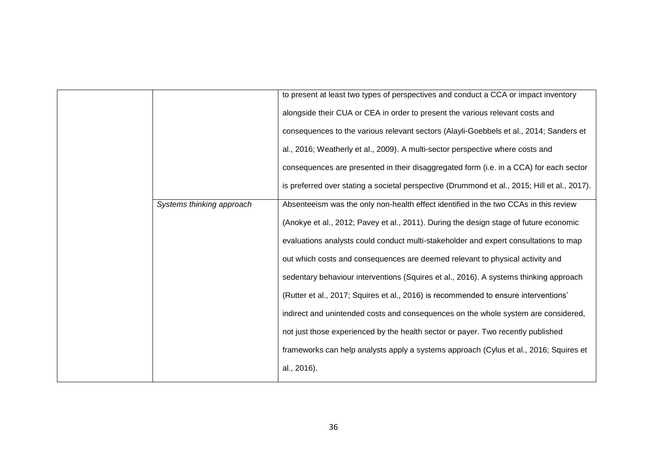|                           | to present at least two types of perspectives and conduct a CCA or impact inventory          |
|---------------------------|----------------------------------------------------------------------------------------------|
|                           | alongside their CUA or CEA in order to present the various relevant costs and                |
|                           | consequences to the various relevant sectors (Alayli-Goebbels et al., 2014; Sanders et       |
|                           | al., 2016; Weatherly et al., 2009). A multi-sector perspective where costs and               |
|                           | consequences are presented in their disaggregated form (i.e. in a CCA) for each sector       |
|                           | is preferred over stating a societal perspective (Drummond et al., 2015; Hill et al., 2017). |
| Systems thinking approach | Absenteeism was the only non-health effect identified in the two CCAs in this review         |
|                           | (Anokye et al., 2012; Pavey et al., 2011). During the design stage of future economic        |
|                           | evaluations analysts could conduct multi-stakeholder and expert consultations to map         |
|                           | out which costs and consequences are deemed relevant to physical activity and                |
|                           | sedentary behaviour interventions (Squires et al., 2016). A systems thinking approach        |
|                           | (Rutter et al., 2017; Squires et al., 2016) is recommended to ensure interventions'          |
|                           | indirect and unintended costs and consequences on the whole system are considered,           |
|                           | not just those experienced by the health sector or payer. Two recently published             |
|                           | frameworks can help analysts apply a systems approach (Cylus et al., 2016; Squires et        |
|                           | al., 2016).                                                                                  |
|                           |                                                                                              |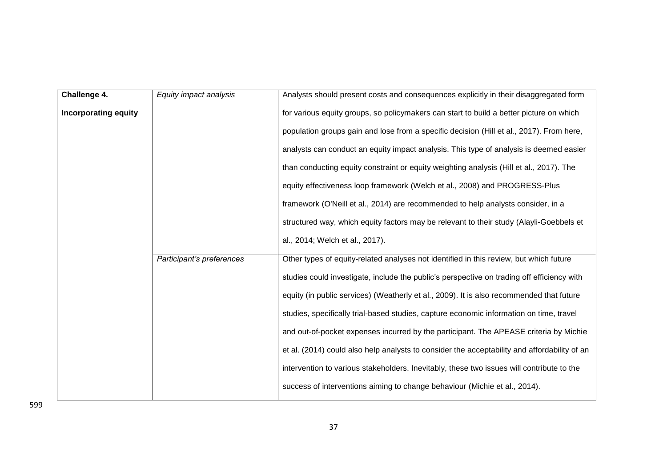| Challenge 4.                | Equity impact analysis    | Analysts should present costs and consequences explicitly in their disaggregated form        |
|-----------------------------|---------------------------|----------------------------------------------------------------------------------------------|
| <b>Incorporating equity</b> |                           | for various equity groups, so policymakers can start to build a better picture on which      |
|                             |                           | population groups gain and lose from a specific decision (Hill et al., 2017). From here,     |
|                             |                           | analysts can conduct an equity impact analysis. This type of analysis is deemed easier       |
|                             |                           | than conducting equity constraint or equity weighting analysis (Hill et al., 2017). The      |
|                             |                           | equity effectiveness loop framework (Welch et al., 2008) and PROGRESS-Plus                   |
|                             |                           | framework (O'Neill et al., 2014) are recommended to help analysts consider, in a             |
|                             |                           | structured way, which equity factors may be relevant to their study (Alayli-Goebbels et      |
|                             |                           | al., 2014; Welch et al., 2017).                                                              |
|                             | Participant's preferences | Other types of equity-related analyses not identified in this review, but which future       |
|                             |                           | studies could investigate, include the public's perspective on trading off efficiency with   |
|                             |                           | equity (in public services) (Weatherly et al., 2009). It is also recommended that future     |
|                             |                           | studies, specifically trial-based studies, capture economic information on time, travel      |
|                             |                           | and out-of-pocket expenses incurred by the participant. The APEASE criteria by Michie        |
|                             |                           | et al. (2014) could also help analysts to consider the acceptability and affordability of an |
|                             |                           | intervention to various stakeholders. Inevitably, these two issues will contribute to the    |
|                             |                           | success of interventions aiming to change behaviour (Michie et al., 2014).                   |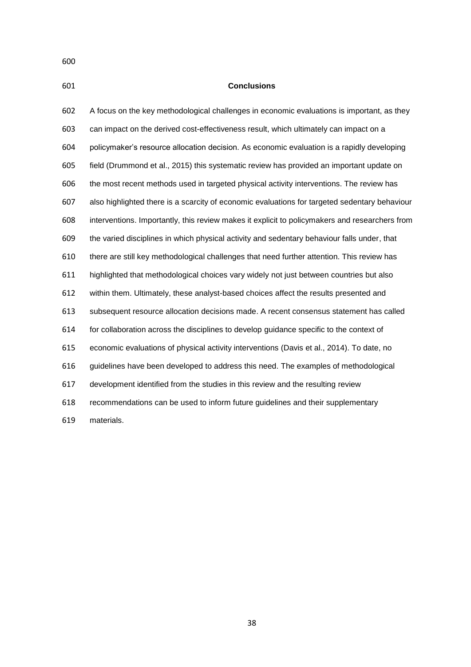**Conclusions** A focus on the key methodological challenges in economic evaluations is important, as they can impact on the derived cost-effectiveness result, which ultimately can impact on a policymaker's resource allocation decision. As economic evaluation is a rapidly developing field (Drummond et al., 2015) this systematic review has provided an important update on the most recent methods used in targeted physical activity interventions. The review has also highlighted there is a scarcity of economic evaluations for targeted sedentary behaviour interventions. Importantly, this review makes it explicit to policymakers and researchers from the varied disciplines in which physical activity and sedentary behaviour falls under, that there are still key methodological challenges that need further attention. This review has highlighted that methodological choices vary widely not just between countries but also within them. Ultimately, these analyst-based choices affect the results presented and subsequent resource allocation decisions made. A recent consensus statement has called for collaboration across the disciplines to develop guidance specific to the context of economic evaluations of physical activity interventions (Davis et al., 2014). To date, no guidelines have been developed to address this need. The examples of methodological development identified from the studies in this review and the resulting review recommendations can be used to inform future guidelines and their supplementary

materials.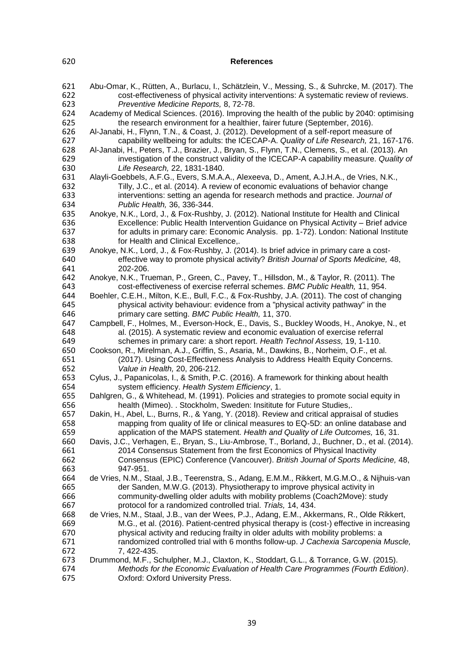# **References**

| 621<br>622<br>623 | Abu-Omar, K., Rütten, A., Burlacu, I., Schätzlein, V., Messing, S., & Suhrcke, M. (2017). The<br>cost-effectiveness of physical activity interventions: A systematic review of reviews.<br>Preventive Medicine Reports, 8, 72-78. |
|-------------------|-----------------------------------------------------------------------------------------------------------------------------------------------------------------------------------------------------------------------------------|
| 624<br>625        | Academy of Medical Sciences. (2016). Improving the health of the public by 2040: optimising<br>the research environment for a healthier, fairer future (September, 2016).                                                         |
| 626<br>627        | Al-Janabi, H., Flynn, T.N., & Coast, J. (2012). Development of a self-report measure of<br>capability wellbeing for adults: the ICECAP-A. Quality of Life Research, 21, 167-176.                                                  |
| 628               | Al-Janabi, H., Peters, T.J., Brazier, J., Bryan, S., Flynn, T.N., Clemens, S., et al. (2013). An                                                                                                                                  |
| 629<br>630        | investigation of the construct validity of the ICECAP-A capability measure. Quality of<br>Life Research, 22, 1831-1840.                                                                                                           |
| 631               | Alayli-Goebbels, A.F.G., Evers, S.M.A.A., Alexeeva, D., Ament, A.J.H.A., de Vries, N.K.,                                                                                                                                          |
| 632               | Tilly, J.C., et al. (2014). A review of economic evaluations of behavior change                                                                                                                                                   |
| 633               | interventions: setting an agenda for research methods and practice. Journal of                                                                                                                                                    |
| 634               | Public Health, 36, 336-344.                                                                                                                                                                                                       |
| 635               | Anokye, N.K., Lord, J., & Fox-Rushby, J. (2012). National Institute for Health and Clinical                                                                                                                                       |
| 636               | Excellence: Public Health Intervention Guidance on Physical Activity - Brief advice                                                                                                                                               |
| 637               | for adults in primary care: Economic Analysis. pp. 1-72). London: National Institute                                                                                                                                              |
| 638               | for Health and Clinical Excellence,.                                                                                                                                                                                              |
| 639               | Anokye, N.K., Lord, J., & Fox-Rushby, J. (2014). Is brief advice in primary care a cost-                                                                                                                                          |
| 640               | effective way to promote physical activity? British Journal of Sports Medicine, 48,                                                                                                                                               |
| 641               | 202-206.                                                                                                                                                                                                                          |
| 642               | Anokye, N.K., Trueman, P., Green, C., Pavey, T., Hillsdon, M., & Taylor, R. (2011). The                                                                                                                                           |
| 643               | cost-effectiveness of exercise referral schemes. BMC Public Health, 11, 954.                                                                                                                                                      |
| 644               | Boehler, C.E.H., Milton, K.E., Bull, F.C., & Fox-Rushby, J.A. (2011). The cost of changing                                                                                                                                        |
| 645               | physical activity behaviour: evidence from a "physical activity pathway" in the                                                                                                                                                   |
| 646               | primary care setting. BMC Public Health, 11, 370.                                                                                                                                                                                 |
| 647               | Campbell, F., Holmes, M., Everson-Hock, E., Davis, S., Buckley Woods, H., Anokye, N., et                                                                                                                                          |
| 648               | al. (2015). A systematic review and economic evaluation of exercise referral                                                                                                                                                      |
| 649               | schemes in primary care: a short report. Health Technol Assess, 19, 1-110.                                                                                                                                                        |
| 650               | Cookson, R., Mirelman, A.J., Griffin, S., Asaria, M., Dawkins, B., Norheim, O.F., et al.                                                                                                                                          |
| 651               | (2017). Using Cost-Effectiveness Analysis to Address Health Equity Concerns.                                                                                                                                                      |
| 652               | Value in Health, 20, 206-212.                                                                                                                                                                                                     |
| 653               | Cylus, J., Papanicolas, I., & Smith, P.C. (2016). A framework for thinking about health                                                                                                                                           |
| 654               | system efficiency. Health System Efficiency, 1.                                                                                                                                                                                   |
| 655               | Dahlgren, G., & Whitehead, M. (1991). Policies and strategies to promote social equity in                                                                                                                                         |
| 656               | health (Mimeo). . Stockholm, Sweden: Insititute for Future Studies,.                                                                                                                                                              |
| 657               | Dakin, H., Abel, L., Burns, R., & Yang, Y. (2018). Review and critical appraisal of studies                                                                                                                                       |
| 658               | mapping from quality of life or clinical measures to EQ-5D: an online database and                                                                                                                                                |
| 659               | application of the MAPS statement. Health and Quality of Life Outcomes, 16, 31.                                                                                                                                                   |
| 660               | Davis, J.C., Verhagen, E., Bryan, S., Liu-Ambrose, T., Borland, J., Buchner, D., et al. (2014).                                                                                                                                   |
| 661               | 2014 Consensus Statement from the first Economics of Physical Inactivity                                                                                                                                                          |
| 662               | Consensus (EPIC) Conference (Vancouver). British Journal of Sports Medicine, 48,                                                                                                                                                  |
| 663               | 947-951.                                                                                                                                                                                                                          |
| 664               | de Vries, N.M., Staal, J.B., Teerenstra, S., Adang, E.M.M., Rikkert, M.G.M.O., & Nijhuis-van                                                                                                                                      |
| 665               | der Sanden, M.W.G. (2013). Physiotherapy to improve physical activity in                                                                                                                                                          |
| 666               | community-dwelling older adults with mobility problems (Coach2Move): study                                                                                                                                                        |
| 667               | protocol for a randomized controlled trial. Trials, 14, 434.                                                                                                                                                                      |
| 668               | de Vries, N.M., Staal, J.B., van der Wees, P.J., Adang, E.M., Akkermans, R., Olde Rikkert,                                                                                                                                        |
| 669               | M.G., et al. (2016). Patient-centred physical therapy is (cost-) effective in increasing                                                                                                                                          |
| 670               | physical activity and reducing frailty in older adults with mobility problems: a                                                                                                                                                  |
| 671               | randomized controlled trial with 6 months follow-up. J Cachexia Sarcopenia Muscle,                                                                                                                                                |
| 672               | 7, 422-435.                                                                                                                                                                                                                       |
| 673               | Drummond, M.F., Schulpher, M.J., Claxton, K., Stoddart, G.L., & Torrance, G.W. (2015).                                                                                                                                            |
| 674               | Methods for the Economic Evaluation of Health Care Programmes (Fourth Edition).                                                                                                                                                   |
| 675               | Oxford: Oxford University Press.                                                                                                                                                                                                  |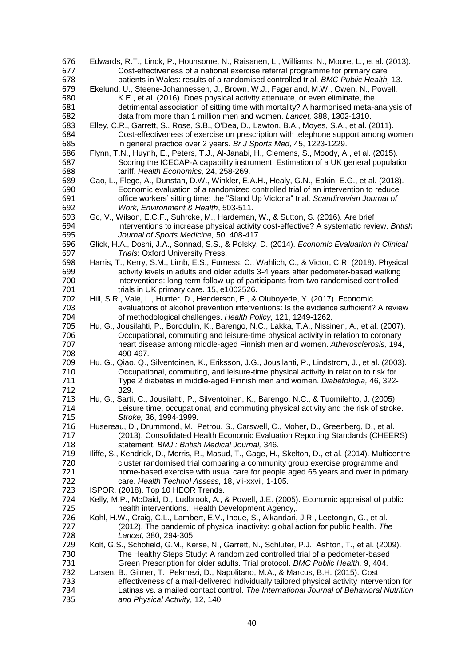| 676 | Edwards, R.T., Linck, P., Hounsome, N., Raisanen, L., Williams, N., Moore, L., et al. (2013).      |
|-----|----------------------------------------------------------------------------------------------------|
| 677 | Cost-effectiveness of a national exercise referral programme for primary care                      |
| 678 | patients in Wales: results of a randomised controlled trial. BMC Public Health, 13.                |
| 679 | Ekelund, U., Steene-Johannessen, J., Brown, W.J., Fagerland, M.W., Owen, N., Powell,               |
| 680 | K.E., et al. (2016). Does physical activity attenuate, or even eliminate, the                      |
| 681 | detrimental association of sitting time with mortality? A harmonised meta-analysis of              |
| 682 | data from more than 1 million men and women. Lancet, 388, 1302-1310.                               |
| 683 | Elley, C.R., Garrett, S., Rose, S.B., O'Dea, D., Lawton, B.A., Moyes, S.A., et al. (2011).         |
| 684 | Cost-effectiveness of exercise on prescription with telephone support among women                  |
|     |                                                                                                    |
| 685 | in general practice over 2 years. Br J Sports Med, 45, 1223-1229.                                  |
| 686 | Flynn, T.N., Huynh, E., Peters, T.J., Al-Janabi, H., Clemens, S., Moody, A., et al. (2015).        |
| 687 | Scoring the ICECAP-A capability instrument. Estimation of a UK general population                  |
| 688 | tariff. Health Economics, 24, 258-269.                                                             |
| 689 | Gao, L., Flego, A., Dunstan, D.W., Winkler, E.A.H., Healy, G.N., Eakin, E.G., et al. (2018).       |
| 690 | Economic evaluation of a randomized controlled trial of an intervention to reduce                  |
| 691 | office workers' sitting time: the "Stand Up Victoria" trial. Scandinavian Journal of               |
| 692 | Work, Environment & Health, 503-511.                                                               |
| 693 | Gc, V., Wilson, E.C.F., Suhrcke, M., Hardeman, W., & Sutton, S. (2016). Are brief                  |
| 694 | interventions to increase physical activity cost-effective? A systematic review. British           |
| 695 | Journal of Sports Medicine, 50, 408-417.                                                           |
| 696 | Glick, H.A., Doshi, J.A., Sonnad, S.S., & Polsky, D. (2014). Economic Evaluation in Clinical       |
| 697 | Trials: Oxford University Press.                                                                   |
| 698 | Harris, T., Kerry, S.M., Limb, E.S., Furness, C., Wahlich, C., & Victor, C.R. (2018). Physical     |
| 699 | activity levels in adults and older adults 3-4 years after pedometer-based walking                 |
| 700 | interventions: long-term follow-up of participants from two randomised controlled                  |
| 701 | trials in UK primary care. 15, e1002526.                                                           |
| 702 | Hill, S.R., Vale, L., Hunter, D., Henderson, E., & Oluboyede, Y. (2017). Economic                  |
| 703 | evaluations of alcohol prevention interventions: Is the evidence sufficient? A review              |
| 704 | of methodological challenges. Health Policy, 121, 1249-1262.                                       |
| 705 |                                                                                                    |
|     | Hu, G., Jousilahti, P., Borodulin, K., Barengo, N.C., Lakka, T.A., Nissinen, A., et al. (2007).    |
| 706 | Occupational, commuting and leisure-time physical activity in relation to coronary                 |
| 707 | heart disease among middle-aged Finnish men and women. Atherosclerosis, 194,                       |
| 708 | 490-497.                                                                                           |
| 709 | Hu, G., Qiao, Q., Silventoinen, K., Eriksson, J.G., Jousilahti, P., Lindstrom, J., et al. (2003).  |
| 710 | Occupational, commuting, and leisure-time physical activity in relation to risk for                |
| 711 | Type 2 diabetes in middle-aged Finnish men and women. Diabetologia, 46, 322-                       |
| 712 | 329.                                                                                               |
| 713 | Hu, G., Sarti, C., Jousilahti, P., Silventoinen, K., Barengo, N.C., & Tuomilehto, J. (2005).       |
| 714 | Leisure time, occupational, and commuting physical activity and the risk of stroke.                |
| 715 | Stroke, 36, 1994-1999.                                                                             |
| 716 | Husereau, D., Drummond, M., Petrou, S., Carswell, C., Moher, D., Greenberg, D., et al.             |
| 717 | (2013). Consolidated Health Economic Evaluation Reporting Standards (CHEERS)                       |
| 718 | statement. BMJ : British Medical Journal, 346.                                                     |
| 719 | Iliffe, S., Kendrick, D., Morris, R., Masud, T., Gage, H., Skelton, D., et al. (2014). Multicentre |
| 720 | cluster randomised trial comparing a community group exercise programme and                        |
| 721 | home-based exercise with usual care for people aged 65 years and over in primary                   |
| 722 | care. Health Technol Assess, 18, vii-xxvii, 1-105.                                                 |
| 723 | ISPOR. (2018). Top 10 HEOR Trends.                                                                 |
| 724 | Kelly, M.P., McDaid, D., Ludbrook, A., & Powell, J.E. (2005). Economic appraisal of public         |
| 725 | health interventions.: Health Development Agency,.                                                 |
| 726 | Kohl, H.W., Craig, C.L., Lambert, E.V., Inoue, S., Alkandari, J.R., Leetongin, G., et al.          |
|     |                                                                                                    |
| 727 | (2012). The pandemic of physical inactivity: global action for public health. The                  |
| 728 | Lancet, 380, 294-305.                                                                              |
| 729 | Kolt, G.S., Schofield, G.M., Kerse, N., Garrett, N., Schluter, P.J., Ashton, T., et al. (2009).    |
| 730 | The Healthy Steps Study: A randomized controlled trial of a pedometer-based                        |
| 731 | Green Prescription for older adults. Trial protocol. BMC Public Health, 9, 404.                    |
| 732 | Larsen, B., Gilmer, T., Pekmezi, D., Napolitano, M.A., & Marcus, B.H. (2015). Cost                 |
| 733 | effectiveness of a mail-delivered individually tailored physical activity intervention for         |
| 734 | Latinas vs. a mailed contact control. The International Journal of Behavioral Nutrition            |
| 735 | and Physical Activity, 12, 140.                                                                    |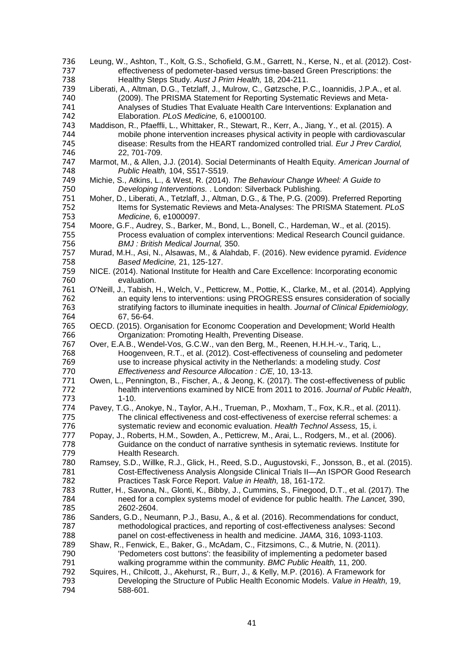| 736 | Leung, W., Ashton, T., Kolt, G.S., Schofield, G.M., Garrett, N., Kerse, N., et al. (2012). Cost-   |
|-----|----------------------------------------------------------------------------------------------------|
| 737 | effectiveness of pedometer-based versus time-based Green Prescriptions: the                        |
| 738 | Healthy Steps Study. Aust J Prim Health, 18, 204-211.                                              |
| 739 | Liberati, A., Altman, D.G., Tetzlaff, J., Mulrow, C., Gøtzsche, P.C., Ioannidis, J.P.A., et al.    |
| 740 | (2009). The PRISMA Statement for Reporting Systematic Reviews and Meta-                            |
| 741 | Analyses of Studies That Evaluate Health Care Interventions: Explanation and                       |
| 742 | Elaboration. PLoS Medicine, 6, e1000100.                                                           |
| 743 | Maddison, R., Pfaeffli, L., Whittaker, R., Stewart, R., Kerr, A., Jiang, Y., et al. (2015). A      |
| 744 | mobile phone intervention increases physical activity in people with cardiovascular                |
| 745 | disease: Results from the HEART randomized controlled trial. Eur J Prev Cardiol,                   |
| 746 | 22, 701-709.                                                                                       |
| 747 | Marmot, M., & Allen, J.J. (2014). Social Determinants of Health Equity. American Journal of        |
| 748 | Public Health, 104, S517-S519.                                                                     |
| 749 | Michie, S., Atkins, L., & West, R. (2014). The Behaviour Change Wheel: A Guide to                  |
| 750 | Developing Interventions. . London: Silverback Publishing.                                         |
| 751 | Moher, D., Liberati, A., Tetzlaff, J., Altman, D.G., & The, P.G. (2009). Preferred Reporting       |
| 752 | Items for Systematic Reviews and Meta-Analyses: The PRISMA Statement. PLoS                         |
| 753 | Medicine, 6, e1000097.                                                                             |
| 754 | Moore, G.F., Audrey, S., Barker, M., Bond, L., Bonell, C., Hardeman, W., et al. (2015).            |
| 755 | Process evaluation of complex interventions: Medical Research Council guidance.                    |
| 756 | <b>BMJ</b> : British Medical Journal, 350.                                                         |
| 757 | Murad, M.H., Asi, N., Alsawas, M., & Alahdab, F. (2016). New evidence pyramid. Evidence            |
| 758 | Based Medicine, 21, 125-127.                                                                       |
| 759 | NICE. (2014). National Institute for Health and Care Excellence: Incorporating economic            |
| 760 |                                                                                                    |
| 761 | evaluation.                                                                                        |
|     | O'Neill, J., Tabish, H., Welch, V., Petticrew, M., Pottie, K., Clarke, M., et al. (2014). Applying |
| 762 | an equity lens to interventions: using PROGRESS ensures consideration of socially                  |
| 763 | stratifying factors to illuminate inequities in health. Journal of Clinical Epidemiology,          |
| 764 | 67, 56-64.                                                                                         |
| 765 | OECD. (2015). Organisation for Economc Cooperation and Development; World Health                   |
| 766 | Organization: Promoting Health, Preventing Disease.                                                |
| 767 | Over, E.A.B., Wendel-Vos, G.C.W., van den Berg, M., Reenen, H.H.H.-v., Tariq, L.,                  |
| 768 | Hoogenveen, R.T., et al. (2012). Cost-effectiveness of counseling and pedometer                    |
| 769 | use to increase physical activity in the Netherlands: a modeling study. Cost                       |
| 770 | Effectiveness and Resource Allocation: C/E, 10, 13-13.                                             |
| 771 | Owen, L., Pennington, B., Fischer, A., & Jeong, K. (2017). The cost-effectiveness of public        |
| 772 | health interventions examined by NICE from 2011 to 2016. Journal of Public Health,                 |
| 773 | $1 - 10.$                                                                                          |
| 774 | Pavey, T.G., Anokye, N., Taylor, A.H., Trueman, P., Moxham, T., Fox, K.R., et al. (2011).          |
| 775 | The clinical effectiveness and cost-effectiveness of exercise referral schemes: a                  |
| 776 | systematic review and economic evaluation. Health Technol Assess, 15, i.                           |
| 777 | Popay, J., Roberts, H.M., Sowden, A., Petticrew, M., Arai, L., Rodgers, M., et al. (2006).         |
| 778 | Guidance on the conduct of narrative synthesis in sytematic reviews. Institute for                 |
| 779 | Health Research.                                                                                   |
| 780 | Ramsey, S.D., Willke, R.J., Glick, H., Reed, S.D., Augustovski, F., Jonsson, B., et al. (2015).    |
| 781 | Cost-Effectiveness Analysis Alongside Clinical Trials II-An ISPOR Good Research                    |
| 782 | Practices Task Force Report. Value in Health, 18, 161-172.                                         |
| 783 | Rutter, H., Savona, N., Glonti, K., Bibby, J., Cummins, S., Finegood, D.T., et al. (2017). The     |
| 784 | need for a complex systems model of evidence for public health. The Lancet, 390,                   |
| 785 | 2602-2604.                                                                                         |
| 786 | Sanders, G.D., Neumann, P.J., Basu, A., & et al. (2016). Recommendations for conduct,              |
| 787 | methodological practices, and reporting of cost-effectiveness analyses: Second                     |
| 788 | panel on cost-effectiveness in health and medicine. JAMA, 316, 1093-1103.                          |
| 789 | Shaw, R., Fenwick, E., Baker, G., McAdam, C., Fitzsimons, C., & Mutrie, N. (2011).                 |
| 790 | 'Pedometers cost buttons': the feasibility of implementing a pedometer based                       |
| 791 | walking programme within the community. BMC Public Health, 11, 200.                                |
| 792 |                                                                                                    |
| 793 | Squires, H., Chilcott, J., Akehurst, R., Burr, J., & Kelly, M.P. (2016). A Framework for           |
|     | Developing the Structure of Public Health Economic Models. Value in Health, 19,                    |
| 794 | 588-601.                                                                                           |